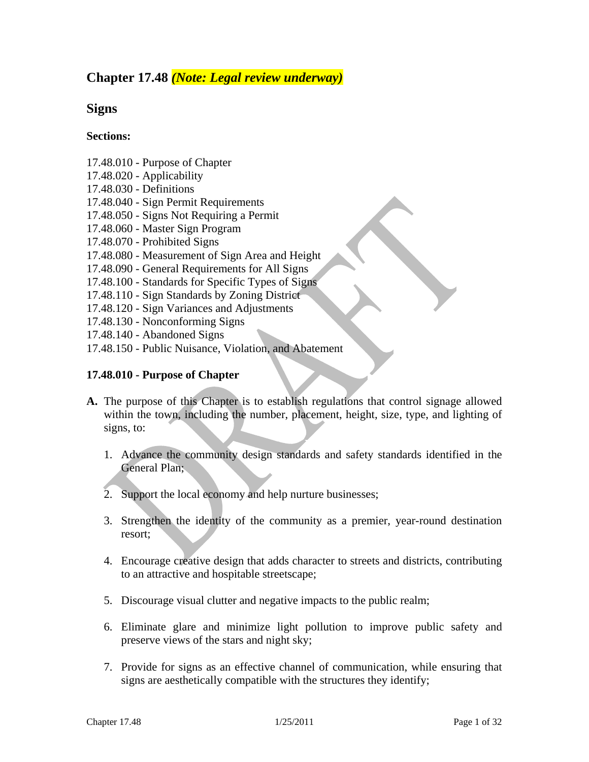## **Chapter 17.48** *(Note: Legal review underway)*

### **Signs**

### **Sections:**

- 17.48.010 Purpose of Chapter
- 17.48.020 Applicability
- 17.48.030 Definitions
- 17.48.040 Sign Permit Requirements
- 17.48.050 Signs Not Requiring a Permit
- 17.48.060 Master Sign Program
- 17.48.070 Prohibited Signs
- 17.48.080 Measurement of Sign Area and Height
- 17.48.090 General Requirements for All Signs
- 17.48.100 Standards for Specific Types of Signs
- 17.48.110 Sign Standards by Zoning District
- 17.48.120 Sign Variances and Adjustments
- 17.48.130 Nonconforming Signs
- 17.48.140 Abandoned Signs
- 17.48.150 Public Nuisance, Violation, and Abatement

### **17.48.010 - Purpose of Chapter**

- **A.** The purpose of this Chapter is to establish regulations that control signage allowed within the town, including the number, placement, height, size, type, and lighting of signs, to:
	- 1. Advance the community design standards and safety standards identified in the General Plan;
	- 2. Support the local economy and help nurture businesses;
	- 3. Strengthen the identity of the community as a premier, year-round destination resort;
	- 4. Encourage creative design that adds character to streets and districts, contributing to an attractive and hospitable streetscape;
	- 5. Discourage visual clutter and negative impacts to the public realm;
	- 6. Eliminate glare and minimize light pollution to improve public safety and preserve views of the stars and night sky;
	- 7. Provide for signs as an effective channel of communication, while ensuring that signs are aesthetically compatible with the structures they identify;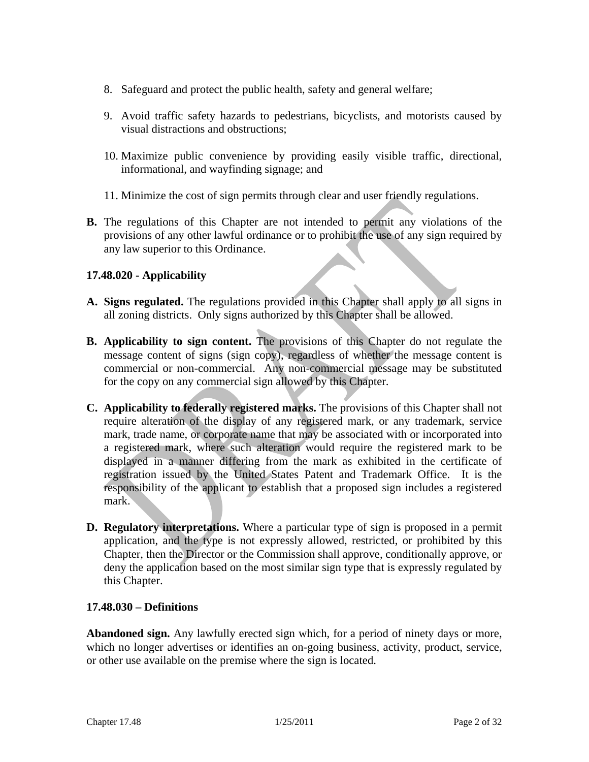- 8. Safeguard and protect the public health, safety and general welfare;
- 9. Avoid traffic safety hazards to pedestrians, bicyclists, and motorists caused by visual distractions and obstructions;
- 10. Maximize public convenience by providing easily visible traffic, directional, informational, and wayfinding signage; and
- 11. Minimize the cost of sign permits through clear and user friendly regulations.
- **B.** The regulations of this Chapter are not intended to permit any violations of the provisions of any other lawful ordinance or to prohibit the use of any sign required by any law superior to this Ordinance.

### **17.48.020 - Applicability**

- **A. Signs regulated.** The regulations provided in this Chapter shall apply to all signs in all zoning districts. Only signs authorized by this Chapter shall be allowed.
- **B. Applicability to sign content.** The provisions of this Chapter do not regulate the message content of signs (sign copy), regardless of whether the message content is commercial or non-commercial. Any non-commercial message may be substituted for the copy on any commercial sign allowed by this Chapter.
- **C. Applicability to federally registered marks.** The provisions of this Chapter shall not require alteration of the display of any registered mark, or any trademark, service mark, trade name, or corporate name that may be associated with or incorporated into a registered mark, where such alteration would require the registered mark to be displayed in a manner differing from the mark as exhibited in the certificate of registration issued by the United States Patent and Trademark Office. It is the responsibility of the applicant to establish that a proposed sign includes a registered mark.
- **D. Regulatory interpretations.** Where a particular type of sign is proposed in a permit application, and the type is not expressly allowed, restricted, or prohibited by this Chapter, then the Director or the Commission shall approve, conditionally approve, or deny the application based on the most similar sign type that is expressly regulated by this Chapter.

#### **17.48.030 – Definitions**

**Abandoned sign.** Any lawfully erected sign which, for a period of ninety days or more, which no longer advertises or identifies an on-going business, activity, product, service, or other use available on the premise where the sign is located.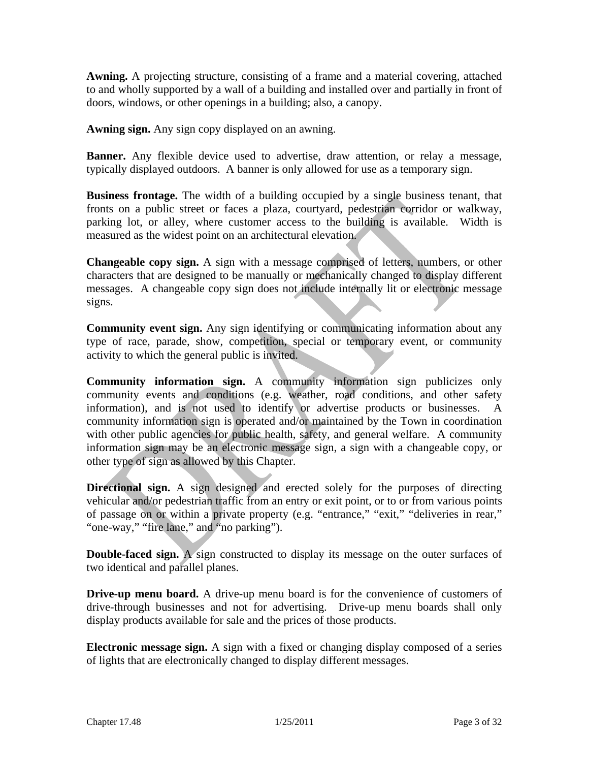**Awning.** A projecting structure, consisting of a frame and a material covering, attached to and wholly supported by a wall of a building and installed over and partially in front of doors, windows, or other openings in a building; also, a canopy.

**Awning sign.** Any sign copy displayed on an awning.

**Banner.** Any flexible device used to advertise, draw attention, or relay a message, typically displayed outdoors. A banner is only allowed for use as a temporary sign.

**Business frontage.** The width of a building occupied by a single business tenant, that fronts on a public street or faces a plaza, courtyard, pedestrian corridor or walkway, parking lot, or alley, where customer access to the building is available. Width is measured as the widest point on an architectural elevation.

**Changeable copy sign.** A sign with a message comprised of letters, numbers, or other characters that are designed to be manually or mechanically changed to display different messages.A changeable copy sign does not include internally lit or electronic message signs.

**Community event sign.** Any sign identifying or communicating information about any type of race, parade, show, competition, special or temporary event, or community activity to which the general public is invited.

**Community information sign.** A community information sign publicizes only community events and conditions (e.g. weather, road conditions, and other safety information), and is not used to identify or advertise products or businesses. A community information sign is operated and/or maintained by the Town in coordination with other public agencies for public health, safety, and general welfare. A community information sign may be an electronic message sign, a sign with a changeable copy, or other type of sign as allowed by this Chapter.

**Directional sign.** A sign designed and erected solely for the purposes of directing vehicular and/or pedestrian traffic from an entry or exit point, or to or from various points of passage on or within a private property (e.g. "entrance," "exit," "deliveries in rear," "one-way," "fire lane," and "no parking").

**Double-faced sign.** A sign constructed to display its message on the outer surfaces of two identical and parallel planes.

**Drive-up menu board.** A drive-up menu board is for the convenience of customers of drive-through businesses and not for advertising. Drive-up menu boards shall only display products available for sale and the prices of those products.

**Electronic message sign.** A sign with a fixed or changing display composed of a series of lights that are electronically changed to display different messages.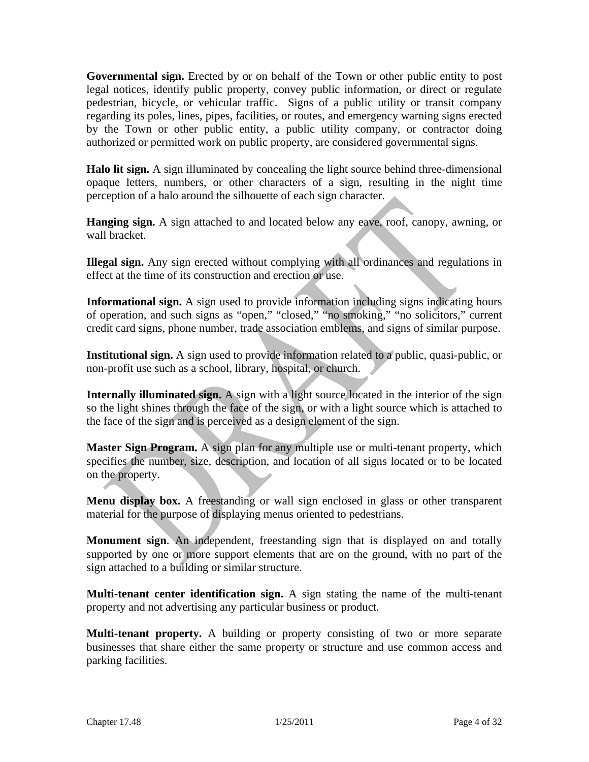**Governmental sign.** Erected by or on behalf of the Town or other public entity to post legal notices, identify public property, convey public information, or direct or regulate pedestrian, bicycle, or vehicular traffic. Signs of a public utility or transit company regarding its poles, lines, pipes, facilities, or routes, and emergency warning signs erected by the Town or other public entity, a public utility company, or contractor doing authorized or permitted work on public property, are considered governmental signs.

**Halo lit sign.** A sign illuminated by concealing the light source behind three-dimensional opaque letters, numbers, or other characters of a sign, resulting in the night time perception of a halo around the silhouette of each sign character.

**Hanging sign.** A sign attached to and located below any eave, roof, canopy, awning, or wall bracket.

**Illegal sign.** Any sign erected without complying with all ordinances and regulations in effect at the time of its construction and erection or use.

**Informational sign.** A sign used to provide information including signs indicating hours of operation, and such signs as "open," "closed," "no smoking," "no solicitors," current credit card signs, phone number, trade association emblems, and signs of similar purpose.

**Institutional sign.** A sign used to provide information related to a public, quasi-public, or non-profit use such as a school, library, hospital, or church.

**Internally illuminated sign.** A sign with a light source located in the interior of the sign so the light shines through the face of the sign, or with a light source which is attached to the face of the sign and is perceived as a design element of the sign.

**Master Sign Program.** A sign plan for any multiple use or multi-tenant property, which specifies the number, size, description, and location of all signs located or to be located on the property.

**Menu display box.** A freestanding or wall sign enclosed in glass or other transparent material for the purpose of displaying menus oriented to pedestrians.

**Monument sign**. An independent, freestanding sign that is displayed on and totally supported by one or more support elements that are on the ground, with no part of the sign attached to a building or similar structure.

**Multi-tenant center identification sign.** A sign stating the name of the multi-tenant property and not advertising any particular business or product.

**Multi-tenant property.** A building or property consisting of two or more separate businesses that share either the same property or structure and use common access and parking facilities.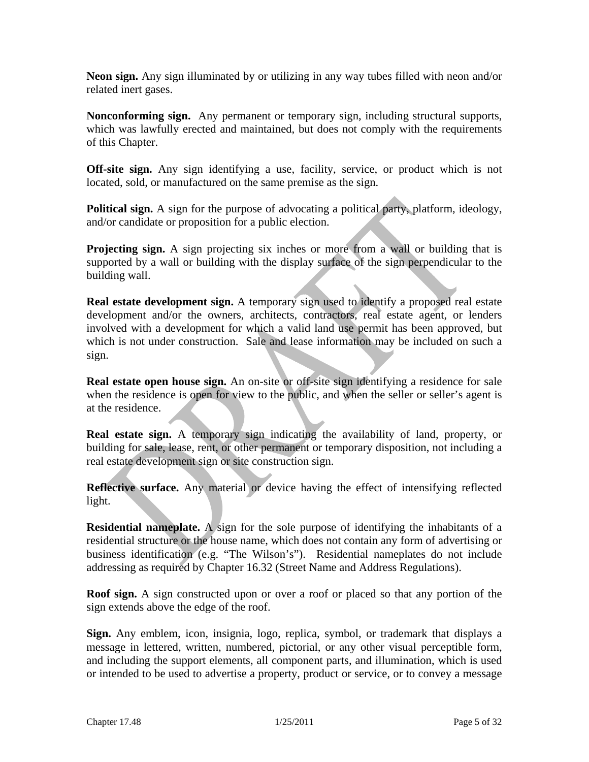**Neon sign.** Any sign illuminated by or utilizing in any way tubes filled with neon and/or related inert gases.

**Nonconforming sign.** Any permanent or temporary sign, including structural supports, which was lawfully erected and maintained, but does not comply with the requirements of this Chapter.

**Off-site sign.** Any sign identifying a use, facility, service, or product which is not located, sold, or manufactured on the same premise as the sign.

**Political sign.** A sign for the purpose of advocating a political party, platform, ideology, and/or candidate or proposition for a public election.

**Projecting sign.** A sign projecting six inches or more from a wall or building that is supported by a wall or building with the display surface of the sign perpendicular to the building wall.

**Real estate development sign.** A temporary sign used to identify a proposed real estate development and/or the owners, architects, contractors, real estate agent, or lenders involved with a development for which a valid land use permit has been approved, but which is not under construction. Sale and lease information may be included on such a sign.

**Real estate open house sign.** An on-site or off-site sign identifying a residence for sale when the residence is open for view to the public, and when the seller or seller's agent is at the residence.

**Real estate sign.** A temporary sign indicating the availability of land, property, or building for sale, lease, rent, or other permanent or temporary disposition, not including a real estate development sign or site construction sign.

**Reflective surface.** Any material or device having the effect of intensifying reflected light.

**Residential nameplate.** A sign for the sole purpose of identifying the inhabitants of a residential structure or the house name, which does not contain any form of advertising or business identification (e.g. "The Wilson's"). Residential nameplates do not include addressing as required by Chapter 16.32 (Street Name and Address Regulations).

**Roof sign.** A sign constructed upon or over a roof or placed so that any portion of the sign extends above the edge of the roof.

**Sign.** Any emblem, icon, insignia, logo, replica, symbol, or trademark that displays a message in lettered, written, numbered, pictorial, or any other visual perceptible form, and including the support elements, all component parts, and illumination, which is used or intended to be used to advertise a property, product or service, or to convey a message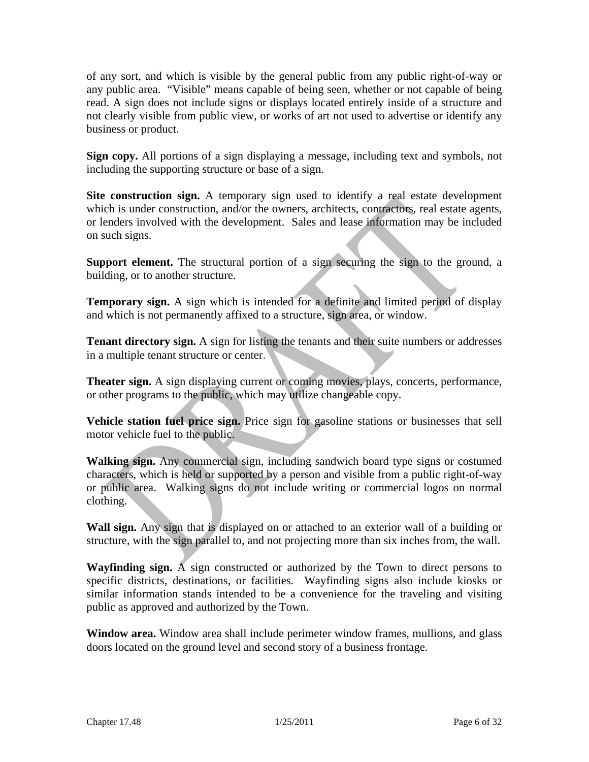of any sort, and which is visible by the general public from any public right-of-way or any public area. "Visible" means capable of being seen, whether or not capable of being read. A sign does not include signs or displays located entirely inside of a structure and not clearly visible from public view, or works of art not used to advertise or identify any business or product.

**Sign copy.** All portions of a sign displaying a message, including text and symbols, not including the supporting structure or base of a sign.

**Site construction sign.** A temporary sign used to identify a real estate development which is under construction, and/or the owners, architects, contractors, real estate agents, or lenders involved with the development. Sales and lease information may be included on such signs.

**Support element.** The structural portion of a sign securing the sign to the ground, a building, or to another structure.

**Temporary sign.** A sign which is intended for a definite and limited period of display and which is not permanently affixed to a structure, sign area, or window.

**Tenant directory sign.** A sign for listing the tenants and their suite numbers or addresses in a multiple tenant structure or center.

**Theater sign.** A sign displaying current or coming movies, plays, concerts, performance, or other programs to the public, which may utilize changeable copy.

**Vehicle station fuel price sign.** Price sign for gasoline stations or businesses that sell motor vehicle fuel to the public.

**Walking sign.** Any commercial sign, including sandwich board type signs or costumed characters, which is held or supported by a person and visible from a public right-of-way or public area. Walking signs do not include writing or commercial logos on normal clothing.

**Wall sign.** Any sign that is displayed on or attached to an exterior wall of a building or structure, with the sign parallel to, and not projecting more than six inches from, the wall.

**Wayfinding sign.** A sign constructed or authorized by the Town to direct persons to specific districts, destinations, or facilities. Wayfinding signs also include kiosks or similar information stands intended to be a convenience for the traveling and visiting public as approved and authorized by the Town.

**Window area.** Window area shall include perimeter window frames, mullions, and glass doors located on the ground level and second story of a business frontage.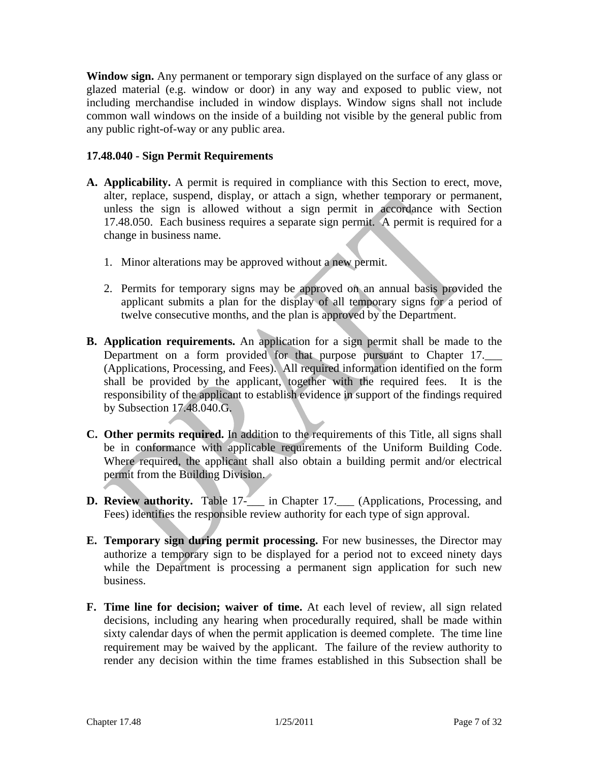**Window sign.** Any permanent or temporary sign displayed on the surface of any glass or glazed material (e.g. window or door) in any way and exposed to public view, not including merchandise included in window displays. Window signs shall not include common wall windows on the inside of a building not visible by the general public from any public right-of-way or any public area.

### **17.48.040 - Sign Permit Requirements**

- **A. Applicability.** A permit is required in compliance with this Section to erect, move, alter, replace, suspend, display, or attach a sign, whether temporary or permanent, unless the sign is allowed without a sign permit in accordance with Section 17.48.050. Each business requires a separate sign permit. A permit is required for a change in business name.
	- 1. Minor alterations may be approved without a new permit.
	- 2. Permits for temporary signs may be approved on an annual basis provided the applicant submits a plan for the display of all temporary signs for a period of twelve consecutive months, and the plan is approved by the Department.
- **B. Application requirements.** An application for a sign permit shall be made to the Department on a form provided for that purpose pursuant to Chapter 17. (Applications, Processing, and Fees). All required information identified on the form shall be provided by the applicant, together with the required fees. It is the responsibility of the applicant to establish evidence in support of the findings required by Subsection 17.48.040.G.
- **C. Other permits required.** In addition to the requirements of this Title, all signs shall be in conformance with applicable requirements of the Uniform Building Code. Where required, the applicant shall also obtain a building permit and/or electrical permit from the Building Division.
- **D.** Review authority. Table 17- $\qquad$  in Chapter 17. (Applications, Processing, and Fees) identifies the responsible review authority for each type of sign approval.
- **E. Temporary sign during permit processing.** For new businesses, the Director may authorize a temporary sign to be displayed for a period not to exceed ninety days while the Department is processing a permanent sign application for such new business.
- **F. Time line for decision; waiver of time.** At each level of review, all sign related decisions, including any hearing when procedurally required, shall be made within sixty calendar days of when the permit application is deemed complete. The time line requirement may be waived by the applicant. The failure of the review authority to render any decision within the time frames established in this Subsection shall be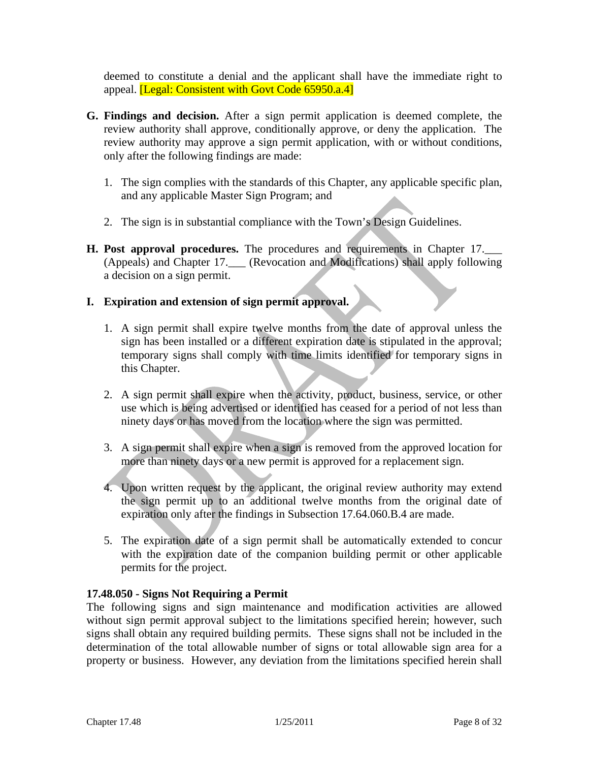deemed to constitute a denial and the applicant shall have the immediate right to appeal. [Legal: Consistent with Govt Code 65950.a.4]

- **G. Findings and decision.** After a sign permit application is deemed complete, the review authority shall approve, conditionally approve, or deny the application. The review authority may approve a sign permit application, with or without conditions, only after the following findings are made:
	- 1. The sign complies with the standards of this Chapter, any applicable specific plan, and any applicable Master Sign Program; and
	- 2. The sign is in substantial compliance with the Town's Design Guidelines.
- **H. Post approval procedures.** The procedures and requirements in Chapter 17.\_\_\_ (Appeals) and Chapter 17.\_\_\_ (Revocation and Modifications) shall apply following a decision on a sign permit.

# **I. Expiration and extension of sign permit approval.**

- 1. A sign permit shall expire twelve months from the date of approval unless the sign has been installed or a different expiration date is stipulated in the approval; temporary signs shall comply with time limits identified for temporary signs in this Chapter.
- 2. A sign permit shall expire when the activity, product, business, service, or other use which is being advertised or identified has ceased for a period of not less than ninety days or has moved from the location where the sign was permitted.
- 3. A sign permit shall expire when a sign is removed from the approved location for more than ninety days or a new permit is approved for a replacement sign.
- 4. Upon written request by the applicant, the original review authority may extend the sign permit up to an additional twelve months from the original date of expiration only after the findings in Subsection 17.64.060.B.4 are made.
- 5. The expiration date of a sign permit shall be automatically extended to concur with the expiration date of the companion building permit or other applicable permits for the project.

### **17.48.050 - Signs Not Requiring a Permit**

The following signs and sign maintenance and modification activities are allowed without sign permit approval subject to the limitations specified herein; however, such signs shall obtain any required building permits. These signs shall not be included in the determination of the total allowable number of signs or total allowable sign area for a property or business. However, any deviation from the limitations specified herein shall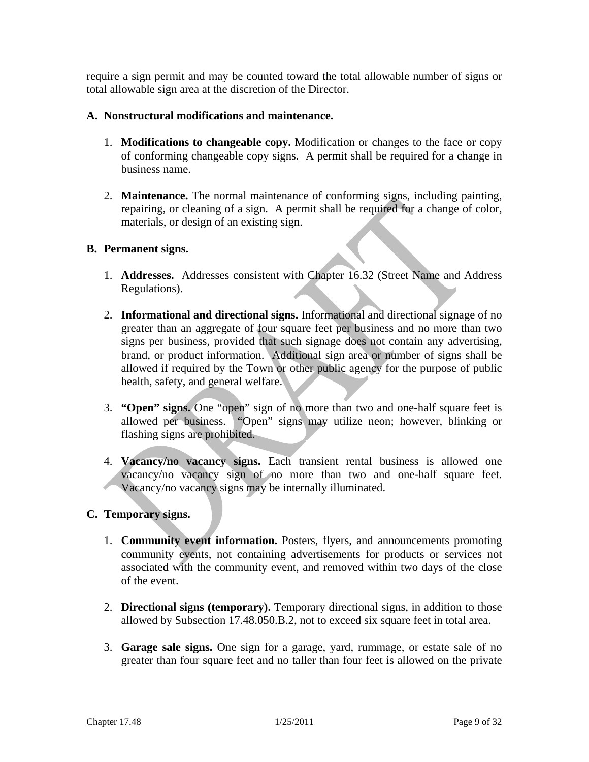require a sign permit and may be counted toward the total allowable number of signs or total allowable sign area at the discretion of the Director.

### **A. Nonstructural modifications and maintenance.**

- 1. **Modifications to changeable copy.** Modification or changes to the face or copy of conforming changeable copy signs. A permit shall be required for a change in business name.
- 2. **Maintenance.** The normal maintenance of conforming signs, including painting, repairing, or cleaning of a sign. A permit shall be required for a change of color, materials, or design of an existing sign.

### **B. Permanent signs.**

- 1. **Addresses.** Addresses consistent with Chapter 16.32 (Street Name and Address Regulations).
- 2. **Informational and directional signs.** Informational and directional signage of no greater than an aggregate of four square feet per business and no more than two signs per business, provided that such signage does not contain any advertising, brand, or product information. Additional sign area or number of signs shall be allowed if required by the Town or other public agency for the purpose of public health, safety, and general welfare.
- 3. **"Open" signs.** One "open" sign of no more than two and one-half square feet is allowed per business. "Open" signs may utilize neon; however, blinking or flashing signs are prohibited.
- 4. **Vacancy/no vacancy signs.** Each transient rental business is allowed one vacancy/no vacancy sign of no more than two and one-half square feet. Vacancy/no vacancy signs may be internally illuminated.

#### **C. Temporary signs.**

- 1. **Community event information.** Posters, flyers, and announcements promoting community events, not containing advertisements for products or services not associated with the community event, and removed within two days of the close of the event.
- 2. **Directional signs (temporary).** Temporary directional signs, in addition to those allowed by Subsection 17.48.050.B.2, not to exceed six square feet in total area.
- 3. **Garage sale signs.** One sign for a garage, yard, rummage, or estate sale of no greater than four square feet and no taller than four feet is allowed on the private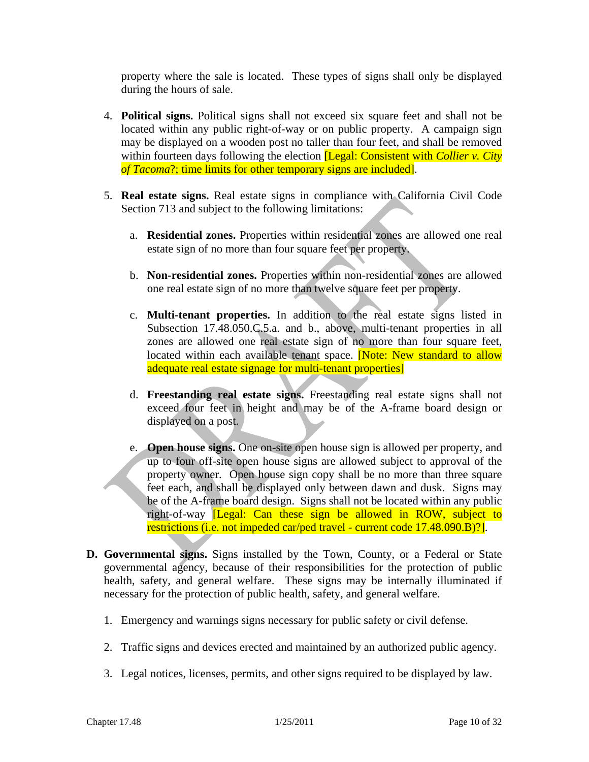property where the sale is located. These types of signs shall only be displayed during the hours of sale.

- 4. **Political signs.** Political signs shall not exceed six square feet and shall not be located within any public right-of-way or on public property. A campaign sign may be displayed on a wooden post no taller than four feet, and shall be removed within fourteen days following the election **[Legal: Consistent with** *Collier v. City of Tacoma*?; time limits for other temporary signs are included].
- 5. **Real estate signs.** Real estate signs in compliance with California Civil Code Section 713 and subject to the following limitations:
	- a. **Residential zones.** Properties within residential zones are allowed one real estate sign of no more than four square feet per property.
	- b. **Non-residential zones.** Properties within non-residential zones are allowed one real estate sign of no more than twelve square feet per property.
	- c. **Multi-tenant properties.** In addition to the real estate signs listed in Subsection 17.48.050.C.5.a. and b., above, multi-tenant properties in all zones are allowed one real estate sign of no more than four square feet, located within each available tenant space. **Note: New standard to allow** adequate real estate signage for multi-tenant properties]
	- d. **Freestanding real estate signs.** Freestanding real estate signs shall not exceed four feet in height and may be of the A-frame board design or displayed on a post.
	- e. **Open house signs.** One on-site open house sign is allowed per property, and up to four off-site open house signs are allowed subject to approval of the property owner. Open house sign copy shall be no more than three square feet each, and shall be displayed only between dawn and dusk. Signs may be of the A-frame board design. Signs shall not be located within any public right-of-way [Legal: Can these sign be allowed in ROW, subject to restrictions (i.e. not impeded car/ped travel - current code 17.48.090.B)?].
- **D. Governmental signs.** Signs installed by the Town, County, or a Federal or State governmental agency, because of their responsibilities for the protection of public health, safety, and general welfare. These signs may be internally illuminated if necessary for the protection of public health, safety, and general welfare.
	- 1. Emergency and warnings signs necessary for public safety or civil defense.
	- 2. Traffic signs and devices erected and maintained by an authorized public agency.
	- 3. Legal notices, licenses, permits, and other signs required to be displayed by law.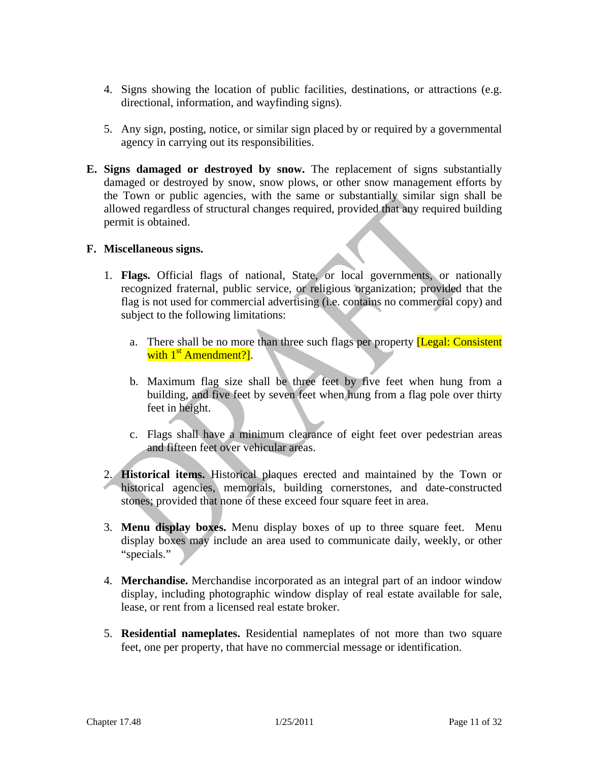- 4. Signs showing the location of public facilities, destinations, or attractions (e.g. directional, information, and wayfinding signs).
- 5. Any sign, posting, notice, or similar sign placed by or required by a governmental agency in carrying out its responsibilities.
- **E. Signs damaged or destroyed by snow.** The replacement of signs substantially damaged or destroyed by snow, snow plows, or other snow management efforts by the Town or public agencies, with the same or substantially similar sign shall be allowed regardless of structural changes required, provided that any required building permit is obtained.

#### **F. Miscellaneous signs.**

- 1. **Flags.** Official flags of national, State, or local governments, or nationally recognized fraternal, public service, or religious organization; provided that the flag is not used for commercial advertising (i.e. contains no commercial copy) and subject to the following limitations:
	- a. There shall be no more than three such flags per property [Legal: Consistent with 1<sup>st</sup> Amendment?].
	- b. Maximum flag size shall be three feet by five feet when hung from a building, and five feet by seven feet when hung from a flag pole over thirty feet in height.
	- c. Flags shall have a minimum clearance of eight feet over pedestrian areas and fifteen feet over vehicular areas.
- 2. **Historical items.** Historical plaques erected and maintained by the Town or historical agencies, memorials, building cornerstones, and date-constructed stones; provided that none of these exceed four square feet in area.
- 3. **Menu display boxes.** Menu display boxes of up to three square feet. Menu display boxes may include an area used to communicate daily, weekly, or other "specials."
- 4. **Merchandise.** Merchandise incorporated as an integral part of an indoor window display, including photographic window display of real estate available for sale, lease, or rent from a licensed real estate broker.
- 5. **Residential nameplates.** Residential nameplates of not more than two square feet, one per property, that have no commercial message or identification.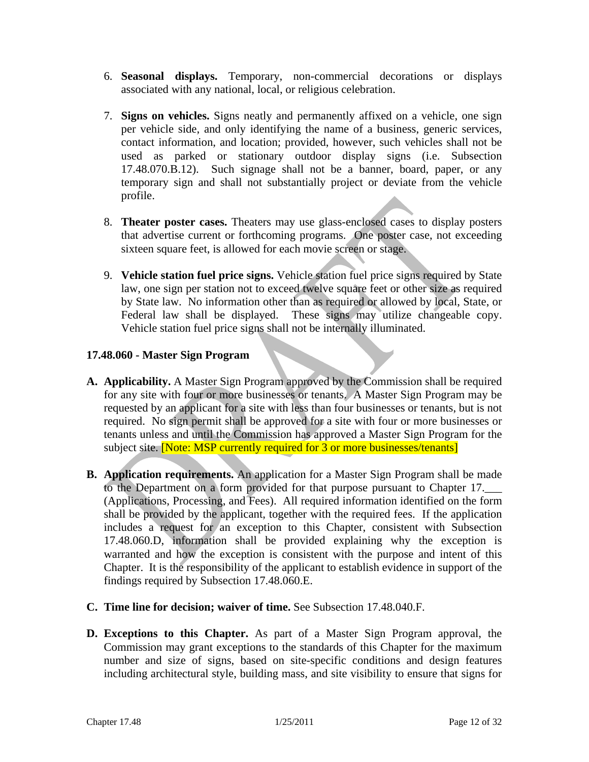- 6. **Seasonal displays.** Temporary, non-commercial decorations or displays associated with any national, local, or religious celebration.
- 7. **Signs on vehicles.** Signs neatly and permanently affixed on a vehicle, one sign per vehicle side, and only identifying the name of a business, generic services, contact information, and location; provided, however, such vehicles shall not be used as parked or stationary outdoor display signs (i.e. Subsection 17.48.070.B.12). Such signage shall not be a banner, board, paper, or any temporary sign and shall not substantially project or deviate from the vehicle profile.
- 8. **Theater poster cases.** Theaters may use glass-enclosed cases to display posters that advertise current or forthcoming programs. One poster case, not exceeding sixteen square feet, is allowed for each movie screen or stage.
- 9. **Vehicle station fuel price signs.** Vehicle station fuel price signs required by State law, one sign per station not to exceed twelve square feet or other size as required by State law. No information other than as required or allowed by local, State, or Federal law shall be displayed. These signs may utilize changeable copy. Vehicle station fuel price signs shall not be internally illuminated.

### **17.48.060 - Master Sign Program**

- **A. Applicability.** A Master Sign Program approved by the Commission shall be required for any site with four or more businesses or tenants. A Master Sign Program may be requested by an applicant for a site with less than four businesses or tenants, but is not required. No sign permit shall be approved for a site with four or more businesses or tenants unless and until the Commission has approved a Master Sign Program for the subject site. **[Note: MSP currently required for 3 or more businesses/tenants]**
- **B. Application requirements.** An application for a Master Sign Program shall be made to the Department on a form provided for that purpose pursuant to Chapter 17. (Applications, Processing, and Fees). All required information identified on the form shall be provided by the applicant, together with the required fees. If the application includes a request for an exception to this Chapter, consistent with Subsection 17.48.060.D, information shall be provided explaining why the exception is warranted and how the exception is consistent with the purpose and intent of this Chapter. It is the responsibility of the applicant to establish evidence in support of the findings required by Subsection 17.48.060.E.
- **C. Time line for decision; waiver of time.** See Subsection 17.48.040.F.
- **D. Exceptions to this Chapter.** As part of a Master Sign Program approval, the Commission may grant exceptions to the standards of this Chapter for the maximum number and size of signs, based on site-specific conditions and design features including architectural style, building mass, and site visibility to ensure that signs for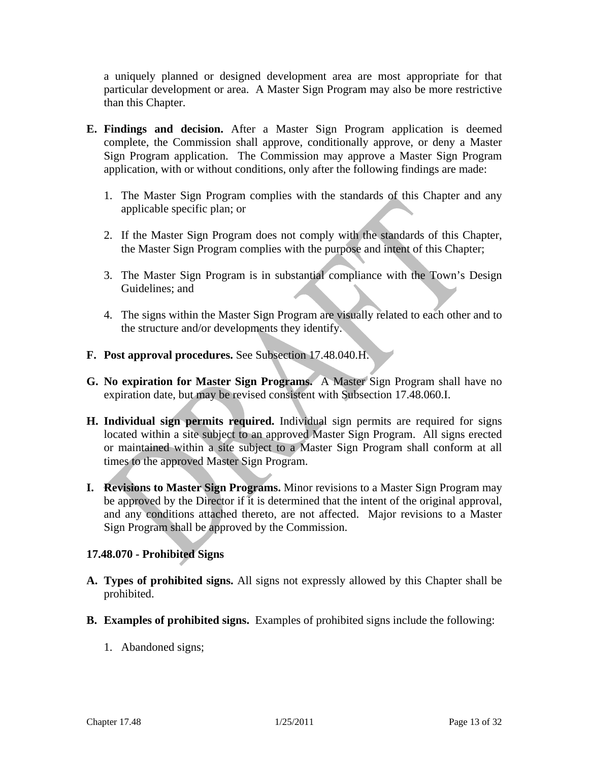a uniquely planned or designed development area are most appropriate for that particular development or area. A Master Sign Program may also be more restrictive than this Chapter.

- **E. Findings and decision.** After a Master Sign Program application is deemed complete, the Commission shall approve, conditionally approve, or deny a Master Sign Program application. The Commission may approve a Master Sign Program application, with or without conditions, only after the following findings are made:
	- 1. The Master Sign Program complies with the standards of this Chapter and any applicable specific plan; or
	- 2. If the Master Sign Program does not comply with the standards of this Chapter, the Master Sign Program complies with the purpose and intent of this Chapter;
	- 3. The Master Sign Program is in substantial compliance with the Town's Design Guidelines; and
	- 4. The signs within the Master Sign Program are visually related to each other and to the structure and/or developments they identify.
- **F. Post approval procedures.** See Subsection 17.48.040.H.
- **G. No expiration for Master Sign Programs.** A Master Sign Program shall have no expiration date, but may be revised consistent with Subsection 17.48.060.I.
- **H. Individual sign permits required.** Individual sign permits are required for signs located within a site subject to an approved Master Sign Program. All signs erected or maintained within a site subject to a Master Sign Program shall conform at all times to the approved Master Sign Program.
- **I. Revisions to Master Sign Programs.** Minor revisions to a Master Sign Program may be approved by the Director if it is determined that the intent of the original approval, and any conditions attached thereto, are not affected. Major revisions to a Master Sign Program shall be approved by the Commission.

### **17.48.070 - Prohibited Signs**

- **A. Types of prohibited signs.** All signs not expressly allowed by this Chapter shall be prohibited.
- **B. Examples of prohibited signs.** Examples of prohibited signs include the following:
	- 1. Abandoned signs;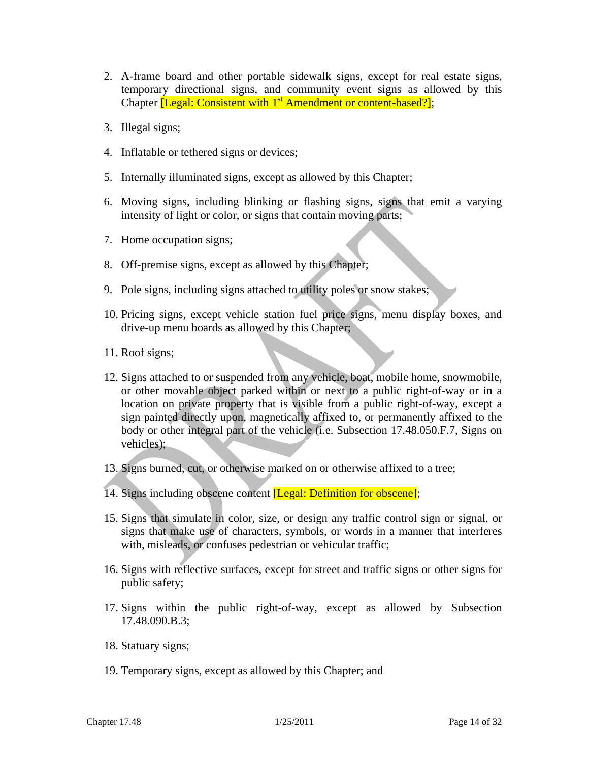- 2. A-frame board and other portable sidewalk signs, except for real estate signs, temporary directional signs, and community event signs as allowed by this Chapter *[Legal: Consistent with* 1<sup>st</sup> Amendment or content-based?];
- 3. Illegal signs;
- 4. Inflatable or tethered signs or devices;
- 5. Internally illuminated signs, except as allowed by this Chapter;
- 6. Moving signs, including blinking or flashing signs, signs that emit a varying intensity of light or color, or signs that contain moving parts;
- 7. Home occupation signs;
- 8. Off-premise signs, except as allowed by this Chapter;
- 9. Pole signs, including signs attached to utility poles or snow stakes;
- 10. Pricing signs, except vehicle station fuel price signs, menu display boxes, and drive-up menu boards as allowed by this Chapter;
- 11. Roof signs;
- 12. Signs attached to or suspended from any vehicle, boat, mobile home, snowmobile, or other movable object parked within or next to a public right-of-way or in a location on private property that is visible from a public right-of-way, except a sign painted directly upon, magnetically affixed to, or permanently affixed to the body or other integral part of the vehicle (i.e. Subsection 17.48.050.F.7, Signs on vehicles);
- 13. Signs burned, cut, or otherwise marked on or otherwise affixed to a tree;
- 14. Signs including obscene content *[Legal: Definition for obscene]*;
- 15. Signs that simulate in color, size, or design any traffic control sign or signal, or signs that make use of characters, symbols, or words in a manner that interferes with, misleads, or confuses pedestrian or vehicular traffic;
- 16. Signs with reflective surfaces, except for street and traffic signs or other signs for public safety;
- 17. Signs within the public right-of-way, except as allowed by Subsection 17.48.090.B.3;
- 18. Statuary signs;
- 19. Temporary signs, except as allowed by this Chapter; and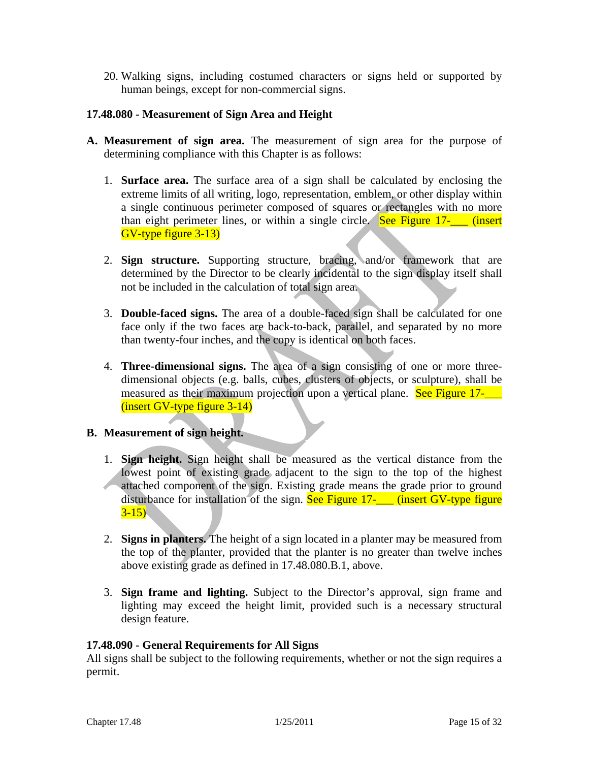20. Walking signs, including costumed characters or signs held or supported by human beings, except for non-commercial signs.

### **17.48.080 - Measurement of Sign Area and Height**

- **A. Measurement of sign area.** The measurement of sign area for the purpose of determining compliance with this Chapter is as follows:
	- 1. **Surface area.** The surface area of a sign shall be calculated by enclosing the extreme limits of all writing, logo, representation, emblem, or other display within a single continuous perimeter composed of squares or rectangles with no more than eight perimeter lines, or within a single circle. See Figure  $17$ - (insert GV-type figure 3-13)
	- 2. **Sign structure.** Supporting structure, bracing, and/or framework that are determined by the Director to be clearly incidental to the sign display itself shall not be included in the calculation of total sign area.
	- 3. **Double-faced signs.** The area of a double-faced sign shall be calculated for one face only if the two faces are back-to-back, parallel, and separated by no more than twenty-four inches, and the copy is identical on both faces.
	- 4. **Three-dimensional signs.** The area of a sign consisting of one or more threedimensional objects (e.g. balls, cubes, clusters of objects, or sculpture), shall be measured as their maximum projection upon a vertical plane. See Figure 17-(insert GV-type figure 3-14)

#### **B. Measurement of sign height.**

- 1. **Sign height.** Sign height shall be measured as the vertical distance from the lowest point of existing grade adjacent to the sign to the top of the highest attached component of the sign. Existing grade means the grade prior to ground disturbance for installation of the sign. See Figure 17- (insert GV-type figure  $3-15$ )
- 2. **Signs in planters.** The height of a sign located in a planter may be measured from the top of the planter, provided that the planter is no greater than twelve inches above existing grade as defined in 17.48.080.B.1, above.
- 3. **Sign frame and lighting.** Subject to the Director's approval, sign frame and lighting may exceed the height limit, provided such is a necessary structural design feature.

#### **17.48.090 - General Requirements for All Signs**

All signs shall be subject to the following requirements, whether or not the sign requires a permit.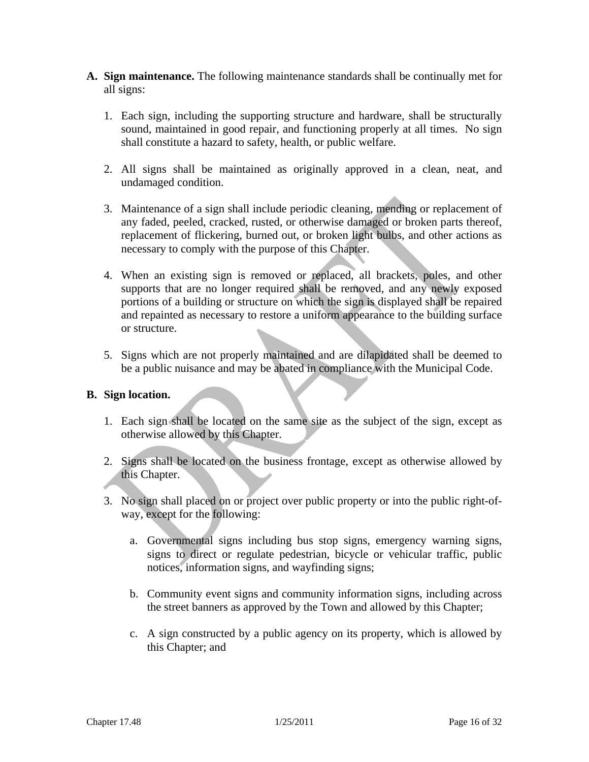- **A. Sign maintenance.** The following maintenance standards shall be continually met for all signs:
	- 1. Each sign, including the supporting structure and hardware, shall be structurally sound, maintained in good repair, and functioning properly at all times. No sign shall constitute a hazard to safety, health, or public welfare.
	- 2. All signs shall be maintained as originally approved in a clean, neat, and undamaged condition.
	- 3. Maintenance of a sign shall include periodic cleaning, mending or replacement of any faded, peeled, cracked, rusted, or otherwise damaged or broken parts thereof, replacement of flickering, burned out, or broken light bulbs, and other actions as necessary to comply with the purpose of this Chapter.
	- 4. When an existing sign is removed or replaced, all brackets, poles, and other supports that are no longer required shall be removed, and any newly exposed portions of a building or structure on which the sign is displayed shall be repaired and repainted as necessary to restore a uniform appearance to the building surface or structure.
	- 5. Signs which are not properly maintained and are dilapidated shall be deemed to be a public nuisance and may be abated in compliance with the Municipal Code.

### **B. Sign location.**

- 1. Each sign shall be located on the same site as the subject of the sign, except as otherwise allowed by this Chapter.
- 2. Signs shall be located on the business frontage, except as otherwise allowed by this Chapter.
- 3. No sign shall placed on or project over public property or into the public right-ofway, except for the following:
	- a. Governmental signs including bus stop signs, emergency warning signs, signs to direct or regulate pedestrian, bicycle or vehicular traffic, public notices, information signs, and wayfinding signs;
	- b. Community event signs and community information signs, including across the street banners as approved by the Town and allowed by this Chapter;
	- c. A sign constructed by a public agency on its property, which is allowed by this Chapter; and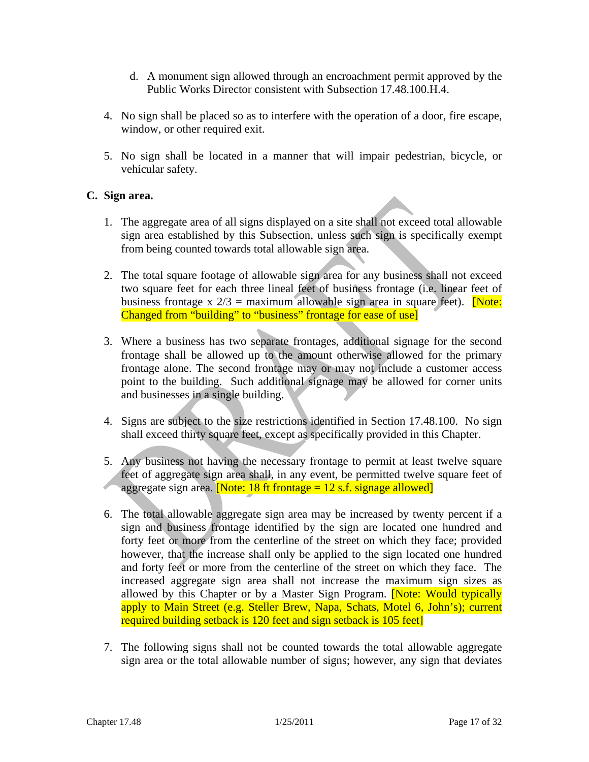- d. A monument sign allowed through an encroachment permit approved by the Public Works Director consistent with Subsection 17.48.100.H.4.
- 4. No sign shall be placed so as to interfere with the operation of a door, fire escape, window, or other required exit.
- 5. No sign shall be located in a manner that will impair pedestrian, bicycle, or vehicular safety.

### **C. Sign area.**

- 1. The aggregate area of all signs displayed on a site shall not exceed total allowable sign area established by this Subsection, unless such sign is specifically exempt from being counted towards total allowable sign area.
- 2. The total square footage of allowable sign area for any business shall not exceed two square feet for each three lineal feet of business frontage (i.e. linear feet of business frontage x  $2/3$  = maximum allowable sign area in square feet). **[Note:** Changed from "building" to "business" frontage for ease of use]
- 3. Where a business has two separate frontages, additional signage for the second frontage shall be allowed up to the amount otherwise allowed for the primary frontage alone. The second frontage may or may not include a customer access point to the building. Such additional signage may be allowed for corner units and businesses in a single building.
- 4. Signs are subject to the size restrictions identified in Section 17.48.100. No sign shall exceed thirty square feet, except as specifically provided in this Chapter.
- 5. Any business not having the necessary frontage to permit at least twelve square feet of aggregate sign area shall, in any event, be permitted twelve square feet of aggregate sign area. **[Note: 18 ft frontage = 12 s.f. signage allowed]**
- 6. The total allowable aggregate sign area may be increased by twenty percent if a sign and business frontage identified by the sign are located one hundred and forty feet or more from the centerline of the street on which they face; provided however, that the increase shall only be applied to the sign located one hundred and forty feet or more from the centerline of the street on which they face. The increased aggregate sign area shall not increase the maximum sign sizes as allowed by this Chapter or by a Master Sign Program. Note: Would typically apply to Main Street (e.g. Steller Brew, Napa, Schats, Motel 6, John's); current required building setback is 120 feet and sign setback is 105 feet]
- 7. The following signs shall not be counted towards the total allowable aggregate sign area or the total allowable number of signs; however, any sign that deviates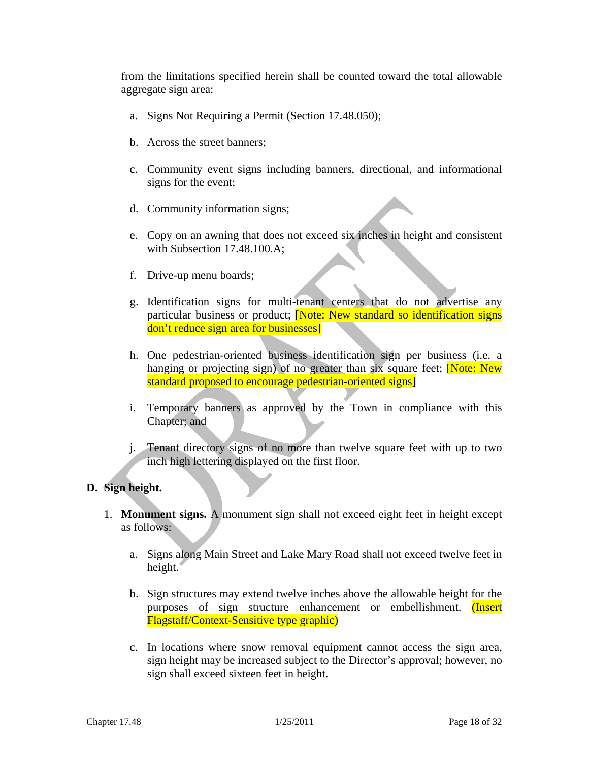from the limitations specified herein shall be counted toward the total allowable aggregate sign area:

- a. Signs Not Requiring a Permit (Section 17.48.050);
- b. Across the street banners;
- c. Community event signs including banners, directional, and informational signs for the event;
- d. Community information signs;
- e. Copy on an awning that does not exceed six inches in height and consistent with Subsection 17.48.100.A;
- f. Drive-up menu boards;
- g. Identification signs for multi-tenant centers that do not advertise any particular business or product; **Note: New standard so identification signs** don't reduce sign area for businesses]
- h. One pedestrian-oriented business identification sign per business (i.e. a hanging or projecting sign) of no greater than six square feet; **Note: New** standard proposed to encourage pedestrian-oriented signs]
- i. Temporary banners as approved by the Town in compliance with this Chapter; and
- j. Tenant directory signs of no more than twelve square feet with up to two inch high lettering displayed on the first floor.

#### **D. Sign height.**

- 1. **Monument signs.** A monument sign shall not exceed eight feet in height except as follows:
	- a. Signs along Main Street and Lake Mary Road shall not exceed twelve feet in height.
	- b. Sign structures may extend twelve inches above the allowable height for the purposes of sign structure enhancement or embellishment. (Insert Flagstaff/Context-Sensitive type graphic)
	- c. In locations where snow removal equipment cannot access the sign area, sign height may be increased subject to the Director's approval; however, no sign shall exceed sixteen feet in height.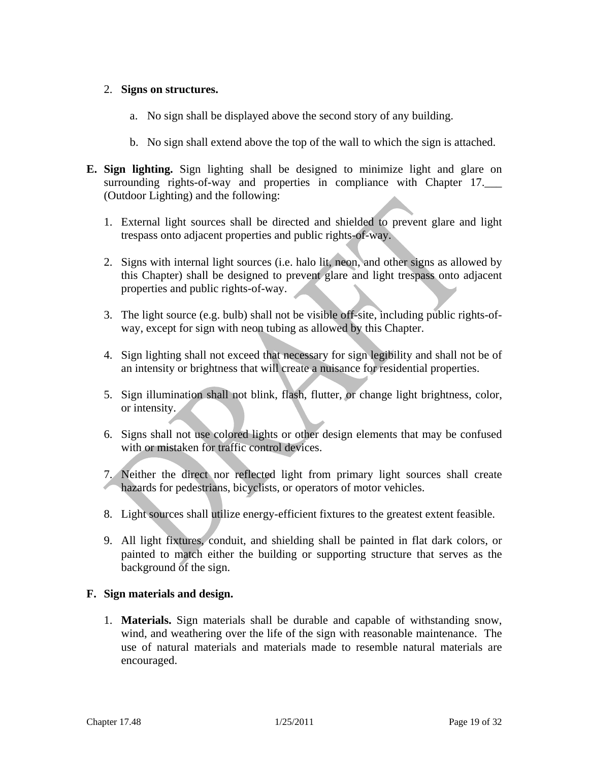### 2. **Signs on structures.**

- a. No sign shall be displayed above the second story of any building.
- b. No sign shall extend above the top of the wall to which the sign is attached.
- **E. Sign lighting.** Sign lighting shall be designed to minimize light and glare on surrounding rights-of-way and properties in compliance with Chapter 17. (Outdoor Lighting) and the following:
	- 1. External light sources shall be directed and shielded to prevent glare and light trespass onto adjacent properties and public rights-of-way.
	- 2. Signs with internal light sources (i.e. halo lit, neon, and other signs as allowed by this Chapter) shall be designed to prevent glare and light trespass onto adjacent properties and public rights-of-way.
	- 3. The light source (e.g. bulb) shall not be visible off-site, including public rights-ofway, except for sign with neon tubing as allowed by this Chapter.
	- 4. Sign lighting shall not exceed that necessary for sign legibility and shall not be of an intensity or brightness that will create a nuisance for residential properties.
	- 5. Sign illumination shall not blink, flash, flutter, or change light brightness, color, or intensity.
	- 6. Signs shall not use colored lights or other design elements that may be confused with or mistaken for traffic control devices.
	- 7. Neither the direct nor reflected light from primary light sources shall create hazards for pedestrians, bicyclists, or operators of motor vehicles.
	- 8. Light sources shall utilize energy-efficient fixtures to the greatest extent feasible.
	- 9. All light fixtures, conduit, and shielding shall be painted in flat dark colors, or painted to match either the building or supporting structure that serves as the background of the sign.

### **F. Sign materials and design.**

1. **Materials.** Sign materials shall be durable and capable of withstanding snow, wind, and weathering over the life of the sign with reasonable maintenance. The use of natural materials and materials made to resemble natural materials are encouraged.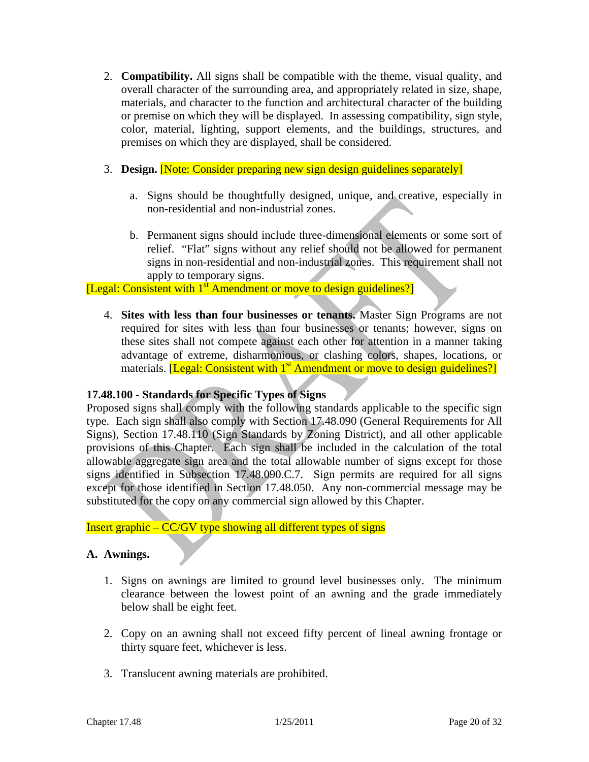- 2. **Compatibility.** All signs shall be compatible with the theme, visual quality, and overall character of the surrounding area, and appropriately related in size, shape, materials, and character to the function and architectural character of the building or premise on which they will be displayed. In assessing compatibility, sign style, color, material, lighting, support elements, and the buildings, structures, and premises on which they are displayed, shall be considered.
- 3. **Design.** [Note: Consider preparing new sign design guidelines separately]
	- a. Signs should be thoughtfully designed, unique, and creative, especially in non-residential and non-industrial zones.
	- b. Permanent signs should include three-dimensional elements or some sort of relief. "Flat" signs without any relief should not be allowed for permanent signs in non-residential and non-industrial zones. This requirement shall not apply to temporary signs.

# [Legal: Consistent with 1<sup>st</sup> Amendment or move to design guidelines?]

4. **Sites with less than four businesses or tenants.** Master Sign Programs are not required for sites with less than four businesses or tenants; however, signs on these sites shall not compete against each other for attention in a manner taking advantage of extreme, disharmonious, or clashing colors, shapes, locations, or materials. *[Legal: Consistent with 1<sup>st</sup>* Amendment or move to design guidelines?]

#### **17.48.100 - Standards for Specific Types of Signs**

Proposed signs shall comply with the following standards applicable to the specific sign type. Each sign shall also comply with Section 17.48.090 (General Requirements for All Signs), Section 17.48.110 (Sign Standards by Zoning District), and all other applicable provisions of this Chapter. Each sign shall be included in the calculation of the total allowable aggregate sign area and the total allowable number of signs except for those signs identified in Subsection 17.48.090.C.7. Sign permits are required for all signs except for those identified in Section 17.48.050. Any non-commercial message may be substituted for the copy on any commercial sign allowed by this Chapter.

Insert graphic – CC/GV type showing all different types of signs

#### **A. Awnings.**

- 1. Signs on awnings are limited to ground level businesses only. The minimum clearance between the lowest point of an awning and the grade immediately below shall be eight feet.
- 2. Copy on an awning shall not exceed fifty percent of lineal awning frontage or thirty square feet, whichever is less.
- 3. Translucent awning materials are prohibited.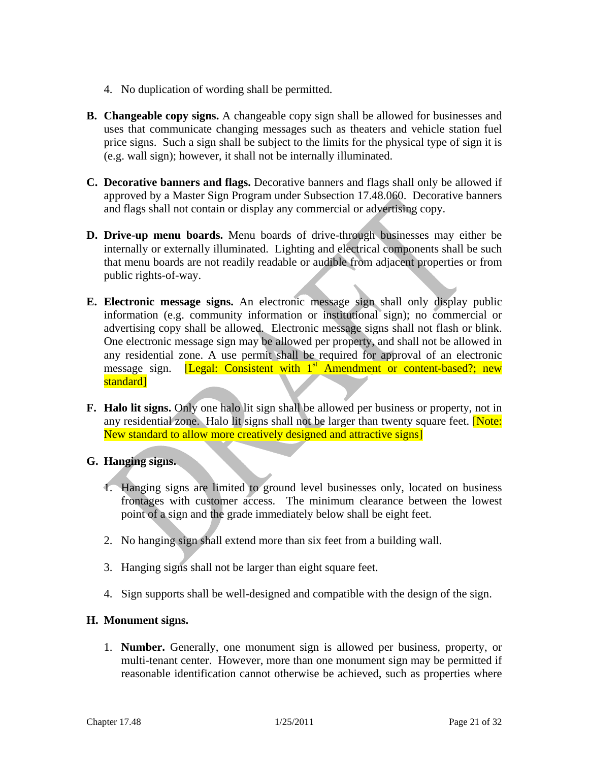- 4. No duplication of wording shall be permitted.
- **B. Changeable copy signs.** A changeable copy sign shall be allowed for businesses and uses that communicate changing messages such as theaters and vehicle station fuel price signs. Such a sign shall be subject to the limits for the physical type of sign it is (e.g. wall sign); however, it shall not be internally illuminated.
- **C. Decorative banners and flags.** Decorative banners and flags shall only be allowed if approved by a Master Sign Program under Subsection 17.48.060. Decorative banners and flags shall not contain or display any commercial or advertising copy.
- **D. Drive-up menu boards.** Menu boards of drive-through businesses may either be internally or externally illuminated. Lighting and electrical components shall be such that menu boards are not readily readable or audible from adjacent properties or from public rights-of-way.
- **E. Electronic message signs.** An electronic message sign shall only display public information (e.g. community information or institutional sign); no commercial or advertising copy shall be allowed. Electronic message signs shall not flash or blink. One electronic message sign may be allowed per property, and shall not be allowed in any residential zone. A use permit shall be required for approval of an electronic message sign. [Legal: Consistent with 1<sup>st</sup> Amendment or content-based?; new standard]
- **F. Halo lit signs.** Only one halo lit sign shall be allowed per business or property, not in any residential zone.Halo lit signs shall not be larger than twenty square feet. [Note: New standard to allow more creatively designed and attractive signs]
- **G. Hanging signs.**
	- 1. Hanging signs are limited to ground level businesses only, located on business frontages with customer access. The minimum clearance between the lowest point of a sign and the grade immediately below shall be eight feet.
	- 2. No hanging sign shall extend more than six feet from a building wall.
	- 3. Hanging signs shall not be larger than eight square feet.
	- 4. Sign supports shall be well-designed and compatible with the design of the sign.

### **H. Monument signs.**

1. **Number.** Generally, one monument sign is allowed per business, property, or multi-tenant center. However, more than one monument sign may be permitted if reasonable identification cannot otherwise be achieved, such as properties where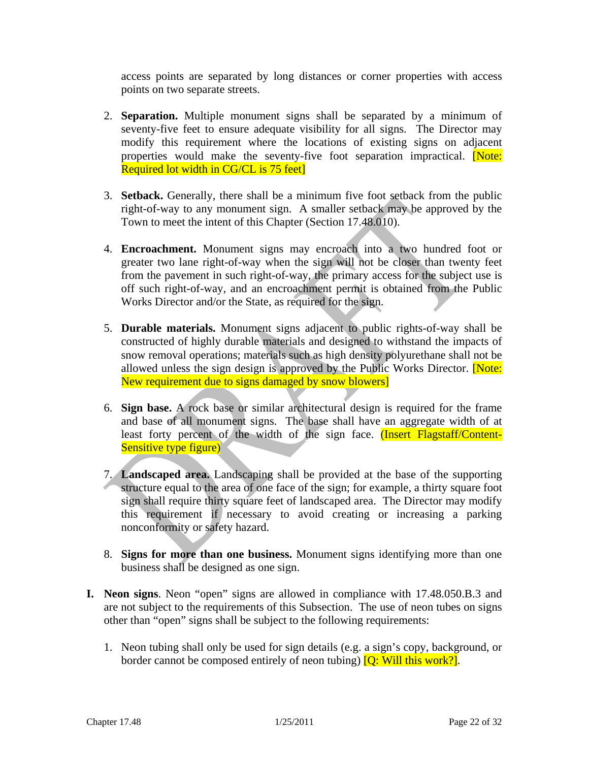access points are separated by long distances or corner properties with access points on two separate streets.

- 2. **Separation.** Multiple monument signs shall be separated by a minimum of seventy-five feet to ensure adequate visibility for all signs. The Director may modify this requirement where the locations of existing signs on adjacent properties would make the seventy-five foot separation impractical. [Note: Required lot width in CG/CL is 75 feet]
- 3. **Setback.** Generally, there shall be a minimum five foot setback from the public right-of-way to any monument sign. A smaller setback may be approved by the Town to meet the intent of this Chapter (Section 17.48.010).
- 4. **Encroachment.** Monument signs may encroach into a two hundred foot or greater two lane right-of-way when the sign will not be closer than twenty feet from the pavement in such right-of-way, the primary access for the subject use is off such right-of-way, and an encroachment permit is obtained from the Public Works Director and/or the State, as required for the sign.
- 5. **Durable materials.** Monument signs adjacent to public rights-of-way shall be constructed of highly durable materials and designed to withstand the impacts of snow removal operations; materials such as high density polyurethane shall not be allowed unless the sign design is approved by the Public Works Director. **[Note:** New requirement due to signs damaged by snow blowers]
- 6. **Sign base.** A rock base or similar architectural design is required for the frame and base of all monument signs. The base shall have an aggregate width of at least forty percent of the width of the sign face. (Insert Flagstaff/Content-Sensitive type figure)
- 7. **Landscaped area.** Landscaping shall be provided at the base of the supporting structure equal to the area of one face of the sign; for example, a thirty square foot sign shall require thirty square feet of landscaped area. The Director may modify this requirement if necessary to avoid creating or increasing a parking nonconformity or safety hazard.
- 8. **Signs for more than one business.** Monument signs identifying more than one business shall be designed as one sign.
- **I. Neon signs**. Neon "open" signs are allowed in compliance with 17.48.050.B.3 and are not subject to the requirements of this Subsection. The use of neon tubes on signs other than "open" signs shall be subject to the following requirements:
	- 1. Neon tubing shall only be used for sign details (e.g. a sign's copy, background, or border cannot be composed entirely of neon tubing)  $[Q: Will this work?]$ .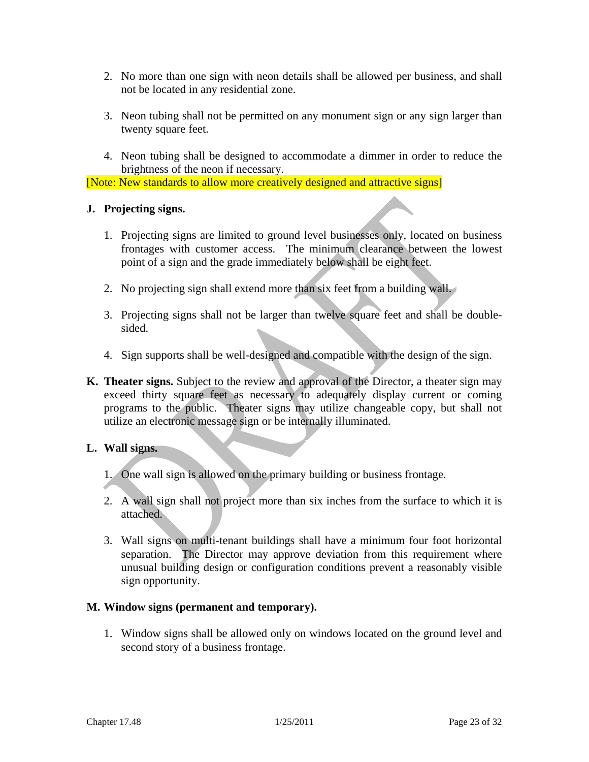- 2. No more than one sign with neon details shall be allowed per business, and shall not be located in any residential zone.
- 3. Neon tubing shall not be permitted on any monument sign or any sign larger than twenty square feet.
- 4. Neon tubing shall be designed to accommodate a dimmer in order to reduce the brightness of the neon if necessary.

[Note: New standards to allow more creatively designed and attractive signs]

#### **J. Projecting signs.**

- 1. Projecting signs are limited to ground level businesses only, located on business frontages with customer access. The minimum clearance between the lowest point of a sign and the grade immediately below shall be eight feet.
- 2. No projecting sign shall extend more than six feet from a building wall.
- 3. Projecting signs shall not be larger than twelve square feet and shall be doublesided.
- 4. Sign supports shall be well-designed and compatible with the design of the sign.
- **K. Theater signs.** Subject to the review and approval of the Director, a theater sign may exceed thirty square feet as necessary to adequately display current or coming programs to the public. Theater signs may utilize changeable copy, but shall not utilize an electronic message sign or be internally illuminated.

#### **L. Wall signs.**

- 1. One wall sign is allowed on the primary building or business frontage.
- 2. A wall sign shall not project more than six inches from the surface to which it is attached.
- 3. Wall signs on multi-tenant buildings shall have a minimum four foot horizontal separation. The Director may approve deviation from this requirement where unusual building design or configuration conditions prevent a reasonably visible sign opportunity.

#### **M. Window signs (permanent and temporary).**

1. Window signs shall be allowed only on windows located on the ground level and second story of a business frontage.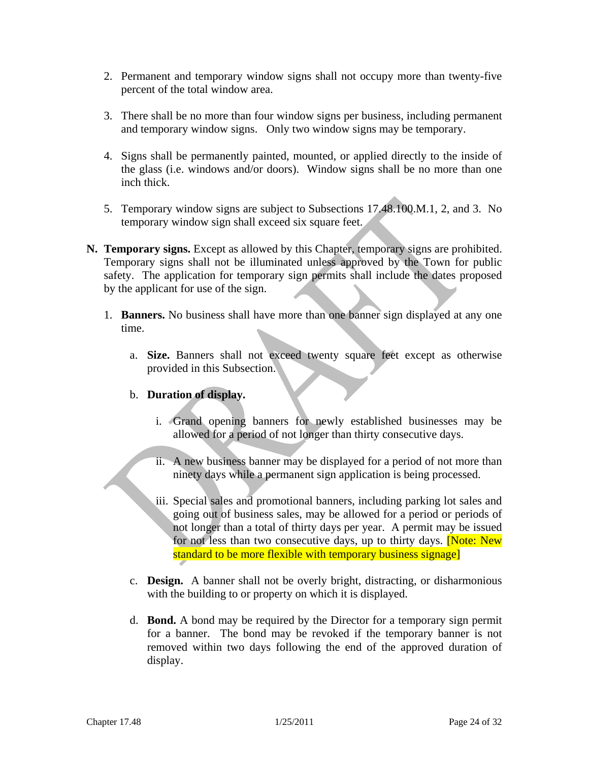- 2. Permanent and temporary window signs shall not occupy more than twenty-five percent of the total window area.
- 3. There shall be no more than four window signs per business, including permanent and temporary window signs. Only two window signs may be temporary.
- 4. Signs shall be permanently painted, mounted, or applied directly to the inside of the glass (i.e. windows and/or doors). Window signs shall be no more than one inch thick.
- 5. Temporary window signs are subject to Subsections 17.48.100.M.1, 2, and 3. No temporary window sign shall exceed six square feet.
- **N. Temporary signs.** Except as allowed by this Chapter, temporary signs are prohibited. Temporary signs shall not be illuminated unless approved by the Town for public safety. The application for temporary sign permits shall include the dates proposed by the applicant for use of the sign.
	- 1. **Banners.** No business shall have more than one banner sign displayed at any one time.
		- a. **Size.** Banners shall not exceed twenty square feet except as otherwise provided in this Subsection.

### b. **Duration of display.**

- i. Grand opening banners for newly established businesses may be allowed for a period of not longer than thirty consecutive days.
- ii. A new business banner may be displayed for a period of not more than ninety days while a permanent sign application is being processed.
- iii. Special sales and promotional banners, including parking lot sales and going out of business sales, may be allowed for a period or periods of not longer than a total of thirty days per year. A permit may be issued for not less than two consecutive days, up to thirty days. **[Note: New**] standard to be more flexible with temporary business signage]
- c. **Design.** A banner shall not be overly bright, distracting, or disharmonious with the building to or property on which it is displayed.
- d. **Bond.** A bond may be required by the Director for a temporary sign permit for a banner. The bond may be revoked if the temporary banner is not removed within two days following the end of the approved duration of display.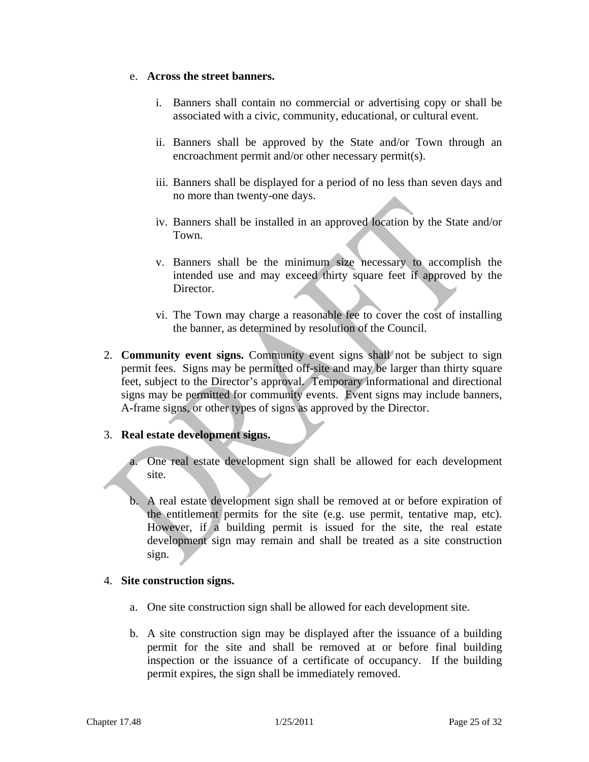#### e. **Across the street banners.**

- i. Banners shall contain no commercial or advertising copy or shall be associated with a civic, community, educational, or cultural event.
- ii. Banners shall be approved by the State and/or Town through an encroachment permit and/or other necessary permit(s).
- iii. Banners shall be displayed for a period of no less than seven days and no more than twenty-one days.
- iv. Banners shall be installed in an approved location by the State and/or Town.
- v. Banners shall be the minimum size necessary to accomplish the intended use and may exceed thirty square feet if approved by the Director.
- vi. The Town may charge a reasonable fee to cover the cost of installing the banner, as determined by resolution of the Council.
- 2. **Community event signs.** Community event signs shall not be subject to sign permit fees. Signs may be permitted off-site and may be larger than thirty square feet, subject to the Director's approval. Temporary informational and directional signs may be permitted for community events. Event signs may include banners, A-frame signs, or other types of signs as approved by the Director.

#### 3. **Real estate development signs.**

a. One real estate development sign shall be allowed for each development site.

b. A real estate development sign shall be removed at or before expiration of the entitlement permits for the site (e.g. use permit, tentative map, etc). However, if a building permit is issued for the site, the real estate development sign may remain and shall be treated as a site construction sign.

#### 4. **Site construction signs.**

- a. One site construction sign shall be allowed for each development site.
- b. A site construction sign may be displayed after the issuance of a building permit for the site and shall be removed at or before final building inspection or the issuance of a certificate of occupancy. If the building permit expires, the sign shall be immediately removed.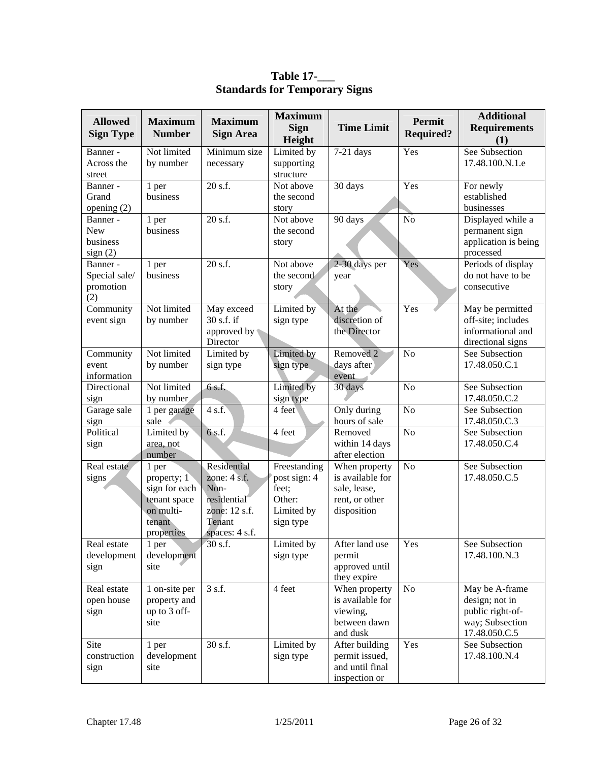| See Subsection<br>Banner -<br>Not limited<br>Minimum size<br>Limited by<br>$7-21$ days<br>Yes<br>17.48.100.N.1.e<br>Across the<br>by number<br>supporting<br>necessary<br>structure<br>street<br>20 s.f.<br>30 days<br>Yes<br>Not above<br>For newly<br>Banner -<br>1 per<br>business<br>Grand<br>the second<br>established<br>businesses<br>opening $(2)$<br>story<br>20 s.f.<br>Not above<br>$\overline{No}$<br>Displayed while a<br>90 days<br>Banner -<br>1 per<br><b>New</b><br>business<br>permanent sign<br>the second<br>application is being<br>business<br>story<br>sign(2)<br>processed<br>20 s.f.<br>Not above<br>2-30 days per<br>Yes<br>Periods of display<br>Banner -<br>1 per<br>Special sale/<br>business<br>the second<br>do not have to be<br>year<br>promotion<br>consecutive<br>story<br>(2)<br>Not limited<br>Yes<br>Community<br>May exceed<br>Limited by<br>May be permitted<br>At the<br>30 s.f. if<br>discretion of<br>off-site; includes<br>event sign<br>by number<br>sign type<br>the Director<br>informational and<br>approved by<br>Director<br>directional signs<br>Not limited<br>N <sub>o</sub><br>Limited by<br>Removed 2<br>See Subsection<br>Limited by<br>Community<br>days after<br>17.48.050.C.1<br>event<br>by number<br>sign type<br>sign type<br>information<br>event<br>Not limited<br>Limited by<br>Directional<br>6 s.f.<br>30 days<br>N <sub>o</sub><br>See Subsection<br>17.48.050.C.2<br>by number<br>sign type<br>sign<br>N <sub>o</sub><br>See Subsection<br>4 s.f.<br>4 feet<br>Only during<br>Garage sale<br>1 per garage<br>sale<br>hours of sale<br>17.48.050.C.3<br>sign<br>Political<br>Limited by<br>6 s.f.<br>4 feet<br>N <sub>o</sub><br>See Subsection<br>Removed<br>within 14 days<br>17.48.050.C.4<br>sign<br>area, not<br>after election<br>number<br>Residential<br>Real estate<br>Freestanding<br>N <sub>o</sub><br>See Subsection<br>When property<br>1 per<br>zone: 4 s.f.<br>is available for<br>17.48.050.C.5<br>signs<br>post sign: 4<br>property; 1<br>sign for each<br>feet;<br>Non-<br>sale, lease,<br>tenant space<br>residential<br>Other:<br>rent, or other<br>on multi-<br>zone: 12 s.f.<br>Limited by<br>disposition<br>tenant<br>Tenant<br>sign type<br>spaces: 4 s.f.<br>properties<br>30 s.f.<br>Limited by<br>After land use<br>See Subsection<br>Real estate<br>1 per<br>Yes<br>17.48.100.N.3<br>development<br>development<br>sign type<br>permit<br>approved until<br>site<br>sign<br>they expire<br>3 s.f.<br>4 feet<br>Real estate<br>1 on-site per<br>When property<br>No<br>May be A-frame<br>is available for<br>design; not in<br>open house<br>property and<br>up to 3 off-<br>viewing,<br>public right-of-<br>sign<br>between dawn<br>way; Subsection<br>site<br>and dusk<br>17.48.050.C.5<br>Limited by<br>Site<br>30 s.f.<br>After building<br>Yes<br>See Subsection<br>1 per<br>construction<br>development<br>17.48.100.N.4<br>sign type<br>permit issued,<br>and until final<br>site<br>sign | <b>Allowed</b><br><b>Sign Type</b> | <b>Maximum</b><br><b>Number</b> | <b>Maximum</b><br><b>Sign Area</b> | <b>Maximum</b><br><b>Sign</b><br>Height | <b>Time Limit</b> | Permit<br><b>Required?</b> | <b>Additional</b><br><b>Requirements</b><br>(1) |
|-------------------------------------------------------------------------------------------------------------------------------------------------------------------------------------------------------------------------------------------------------------------------------------------------------------------------------------------------------------------------------------------------------------------------------------------------------------------------------------------------------------------------------------------------------------------------------------------------------------------------------------------------------------------------------------------------------------------------------------------------------------------------------------------------------------------------------------------------------------------------------------------------------------------------------------------------------------------------------------------------------------------------------------------------------------------------------------------------------------------------------------------------------------------------------------------------------------------------------------------------------------------------------------------------------------------------------------------------------------------------------------------------------------------------------------------------------------------------------------------------------------------------------------------------------------------------------------------------------------------------------------------------------------------------------------------------------------------------------------------------------------------------------------------------------------------------------------------------------------------------------------------------------------------------------------------------------------------------------------------------------------------------------------------------------------------------------------------------------------------------------------------------------------------------------------------------------------------------------------------------------------------------------------------------------------------------------------------------------------------------------------------------------------------------------------------------------------------------------------------------------------------------------------------------------------------------------------------------------------------------------------------------------------------------------------------------------------------------------------------------------------------------------------------------------------------------------------------------------------------------------------------------------------------------------------------------------------------------------------------------|------------------------------------|---------------------------------|------------------------------------|-----------------------------------------|-------------------|----------------------------|-------------------------------------------------|
|                                                                                                                                                                                                                                                                                                                                                                                                                                                                                                                                                                                                                                                                                                                                                                                                                                                                                                                                                                                                                                                                                                                                                                                                                                                                                                                                                                                                                                                                                                                                                                                                                                                                                                                                                                                                                                                                                                                                                                                                                                                                                                                                                                                                                                                                                                                                                                                                                                                                                                                                                                                                                                                                                                                                                                                                                                                                                                                                                                                                 |                                    |                                 |                                    |                                         |                   |                            |                                                 |
|                                                                                                                                                                                                                                                                                                                                                                                                                                                                                                                                                                                                                                                                                                                                                                                                                                                                                                                                                                                                                                                                                                                                                                                                                                                                                                                                                                                                                                                                                                                                                                                                                                                                                                                                                                                                                                                                                                                                                                                                                                                                                                                                                                                                                                                                                                                                                                                                                                                                                                                                                                                                                                                                                                                                                                                                                                                                                                                                                                                                 |                                    |                                 |                                    |                                         |                   |                            |                                                 |
|                                                                                                                                                                                                                                                                                                                                                                                                                                                                                                                                                                                                                                                                                                                                                                                                                                                                                                                                                                                                                                                                                                                                                                                                                                                                                                                                                                                                                                                                                                                                                                                                                                                                                                                                                                                                                                                                                                                                                                                                                                                                                                                                                                                                                                                                                                                                                                                                                                                                                                                                                                                                                                                                                                                                                                                                                                                                                                                                                                                                 |                                    |                                 |                                    |                                         |                   |                            |                                                 |
|                                                                                                                                                                                                                                                                                                                                                                                                                                                                                                                                                                                                                                                                                                                                                                                                                                                                                                                                                                                                                                                                                                                                                                                                                                                                                                                                                                                                                                                                                                                                                                                                                                                                                                                                                                                                                                                                                                                                                                                                                                                                                                                                                                                                                                                                                                                                                                                                                                                                                                                                                                                                                                                                                                                                                                                                                                                                                                                                                                                                 |                                    |                                 |                                    |                                         |                   |                            |                                                 |
|                                                                                                                                                                                                                                                                                                                                                                                                                                                                                                                                                                                                                                                                                                                                                                                                                                                                                                                                                                                                                                                                                                                                                                                                                                                                                                                                                                                                                                                                                                                                                                                                                                                                                                                                                                                                                                                                                                                                                                                                                                                                                                                                                                                                                                                                                                                                                                                                                                                                                                                                                                                                                                                                                                                                                                                                                                                                                                                                                                                                 |                                    |                                 |                                    |                                         |                   |                            |                                                 |
|                                                                                                                                                                                                                                                                                                                                                                                                                                                                                                                                                                                                                                                                                                                                                                                                                                                                                                                                                                                                                                                                                                                                                                                                                                                                                                                                                                                                                                                                                                                                                                                                                                                                                                                                                                                                                                                                                                                                                                                                                                                                                                                                                                                                                                                                                                                                                                                                                                                                                                                                                                                                                                                                                                                                                                                                                                                                                                                                                                                                 |                                    |                                 |                                    |                                         |                   |                            |                                                 |
|                                                                                                                                                                                                                                                                                                                                                                                                                                                                                                                                                                                                                                                                                                                                                                                                                                                                                                                                                                                                                                                                                                                                                                                                                                                                                                                                                                                                                                                                                                                                                                                                                                                                                                                                                                                                                                                                                                                                                                                                                                                                                                                                                                                                                                                                                                                                                                                                                                                                                                                                                                                                                                                                                                                                                                                                                                                                                                                                                                                                 |                                    |                                 |                                    |                                         |                   |                            |                                                 |
|                                                                                                                                                                                                                                                                                                                                                                                                                                                                                                                                                                                                                                                                                                                                                                                                                                                                                                                                                                                                                                                                                                                                                                                                                                                                                                                                                                                                                                                                                                                                                                                                                                                                                                                                                                                                                                                                                                                                                                                                                                                                                                                                                                                                                                                                                                                                                                                                                                                                                                                                                                                                                                                                                                                                                                                                                                                                                                                                                                                                 |                                    |                                 |                                    |                                         |                   |                            |                                                 |
|                                                                                                                                                                                                                                                                                                                                                                                                                                                                                                                                                                                                                                                                                                                                                                                                                                                                                                                                                                                                                                                                                                                                                                                                                                                                                                                                                                                                                                                                                                                                                                                                                                                                                                                                                                                                                                                                                                                                                                                                                                                                                                                                                                                                                                                                                                                                                                                                                                                                                                                                                                                                                                                                                                                                                                                                                                                                                                                                                                                                 |                                    |                                 |                                    |                                         |                   |                            |                                                 |
|                                                                                                                                                                                                                                                                                                                                                                                                                                                                                                                                                                                                                                                                                                                                                                                                                                                                                                                                                                                                                                                                                                                                                                                                                                                                                                                                                                                                                                                                                                                                                                                                                                                                                                                                                                                                                                                                                                                                                                                                                                                                                                                                                                                                                                                                                                                                                                                                                                                                                                                                                                                                                                                                                                                                                                                                                                                                                                                                                                                                 |                                    |                                 |                                    |                                         |                   |                            |                                                 |
|                                                                                                                                                                                                                                                                                                                                                                                                                                                                                                                                                                                                                                                                                                                                                                                                                                                                                                                                                                                                                                                                                                                                                                                                                                                                                                                                                                                                                                                                                                                                                                                                                                                                                                                                                                                                                                                                                                                                                                                                                                                                                                                                                                                                                                                                                                                                                                                                                                                                                                                                                                                                                                                                                                                                                                                                                                                                                                                                                                                                 |                                    |                                 |                                    |                                         |                   |                            |                                                 |
|                                                                                                                                                                                                                                                                                                                                                                                                                                                                                                                                                                                                                                                                                                                                                                                                                                                                                                                                                                                                                                                                                                                                                                                                                                                                                                                                                                                                                                                                                                                                                                                                                                                                                                                                                                                                                                                                                                                                                                                                                                                                                                                                                                                                                                                                                                                                                                                                                                                                                                                                                                                                                                                                                                                                                                                                                                                                                                                                                                                                 |                                    |                                 |                                    |                                         |                   |                            |                                                 |
|                                                                                                                                                                                                                                                                                                                                                                                                                                                                                                                                                                                                                                                                                                                                                                                                                                                                                                                                                                                                                                                                                                                                                                                                                                                                                                                                                                                                                                                                                                                                                                                                                                                                                                                                                                                                                                                                                                                                                                                                                                                                                                                                                                                                                                                                                                                                                                                                                                                                                                                                                                                                                                                                                                                                                                                                                                                                                                                                                                                                 |                                    |                                 |                                    |                                         |                   |                            |                                                 |
|                                                                                                                                                                                                                                                                                                                                                                                                                                                                                                                                                                                                                                                                                                                                                                                                                                                                                                                                                                                                                                                                                                                                                                                                                                                                                                                                                                                                                                                                                                                                                                                                                                                                                                                                                                                                                                                                                                                                                                                                                                                                                                                                                                                                                                                                                                                                                                                                                                                                                                                                                                                                                                                                                                                                                                                                                                                                                                                                                                                                 |                                    |                                 |                                    |                                         |                   |                            |                                                 |
|                                                                                                                                                                                                                                                                                                                                                                                                                                                                                                                                                                                                                                                                                                                                                                                                                                                                                                                                                                                                                                                                                                                                                                                                                                                                                                                                                                                                                                                                                                                                                                                                                                                                                                                                                                                                                                                                                                                                                                                                                                                                                                                                                                                                                                                                                                                                                                                                                                                                                                                                                                                                                                                                                                                                                                                                                                                                                                                                                                                                 |                                    |                                 |                                    |                                         |                   |                            |                                                 |
|                                                                                                                                                                                                                                                                                                                                                                                                                                                                                                                                                                                                                                                                                                                                                                                                                                                                                                                                                                                                                                                                                                                                                                                                                                                                                                                                                                                                                                                                                                                                                                                                                                                                                                                                                                                                                                                                                                                                                                                                                                                                                                                                                                                                                                                                                                                                                                                                                                                                                                                                                                                                                                                                                                                                                                                                                                                                                                                                                                                                 |                                    |                                 |                                    |                                         |                   |                            |                                                 |
|                                                                                                                                                                                                                                                                                                                                                                                                                                                                                                                                                                                                                                                                                                                                                                                                                                                                                                                                                                                                                                                                                                                                                                                                                                                                                                                                                                                                                                                                                                                                                                                                                                                                                                                                                                                                                                                                                                                                                                                                                                                                                                                                                                                                                                                                                                                                                                                                                                                                                                                                                                                                                                                                                                                                                                                                                                                                                                                                                                                                 |                                    |                                 |                                    |                                         |                   |                            |                                                 |
|                                                                                                                                                                                                                                                                                                                                                                                                                                                                                                                                                                                                                                                                                                                                                                                                                                                                                                                                                                                                                                                                                                                                                                                                                                                                                                                                                                                                                                                                                                                                                                                                                                                                                                                                                                                                                                                                                                                                                                                                                                                                                                                                                                                                                                                                                                                                                                                                                                                                                                                                                                                                                                                                                                                                                                                                                                                                                                                                                                                                 |                                    |                                 |                                    |                                         |                   |                            |                                                 |
|                                                                                                                                                                                                                                                                                                                                                                                                                                                                                                                                                                                                                                                                                                                                                                                                                                                                                                                                                                                                                                                                                                                                                                                                                                                                                                                                                                                                                                                                                                                                                                                                                                                                                                                                                                                                                                                                                                                                                                                                                                                                                                                                                                                                                                                                                                                                                                                                                                                                                                                                                                                                                                                                                                                                                                                                                                                                                                                                                                                                 |                                    |                                 |                                    |                                         |                   |                            |                                                 |
|                                                                                                                                                                                                                                                                                                                                                                                                                                                                                                                                                                                                                                                                                                                                                                                                                                                                                                                                                                                                                                                                                                                                                                                                                                                                                                                                                                                                                                                                                                                                                                                                                                                                                                                                                                                                                                                                                                                                                                                                                                                                                                                                                                                                                                                                                                                                                                                                                                                                                                                                                                                                                                                                                                                                                                                                                                                                                                                                                                                                 |                                    |                                 |                                    |                                         |                   |                            |                                                 |
|                                                                                                                                                                                                                                                                                                                                                                                                                                                                                                                                                                                                                                                                                                                                                                                                                                                                                                                                                                                                                                                                                                                                                                                                                                                                                                                                                                                                                                                                                                                                                                                                                                                                                                                                                                                                                                                                                                                                                                                                                                                                                                                                                                                                                                                                                                                                                                                                                                                                                                                                                                                                                                                                                                                                                                                                                                                                                                                                                                                                 |                                    |                                 |                                    |                                         |                   |                            |                                                 |
|                                                                                                                                                                                                                                                                                                                                                                                                                                                                                                                                                                                                                                                                                                                                                                                                                                                                                                                                                                                                                                                                                                                                                                                                                                                                                                                                                                                                                                                                                                                                                                                                                                                                                                                                                                                                                                                                                                                                                                                                                                                                                                                                                                                                                                                                                                                                                                                                                                                                                                                                                                                                                                                                                                                                                                                                                                                                                                                                                                                                 |                                    |                                 |                                    |                                         |                   |                            |                                                 |
|                                                                                                                                                                                                                                                                                                                                                                                                                                                                                                                                                                                                                                                                                                                                                                                                                                                                                                                                                                                                                                                                                                                                                                                                                                                                                                                                                                                                                                                                                                                                                                                                                                                                                                                                                                                                                                                                                                                                                                                                                                                                                                                                                                                                                                                                                                                                                                                                                                                                                                                                                                                                                                                                                                                                                                                                                                                                                                                                                                                                 |                                    |                                 |                                    |                                         |                   |                            |                                                 |
|                                                                                                                                                                                                                                                                                                                                                                                                                                                                                                                                                                                                                                                                                                                                                                                                                                                                                                                                                                                                                                                                                                                                                                                                                                                                                                                                                                                                                                                                                                                                                                                                                                                                                                                                                                                                                                                                                                                                                                                                                                                                                                                                                                                                                                                                                                                                                                                                                                                                                                                                                                                                                                                                                                                                                                                                                                                                                                                                                                                                 |                                    |                                 |                                    |                                         |                   |                            |                                                 |
|                                                                                                                                                                                                                                                                                                                                                                                                                                                                                                                                                                                                                                                                                                                                                                                                                                                                                                                                                                                                                                                                                                                                                                                                                                                                                                                                                                                                                                                                                                                                                                                                                                                                                                                                                                                                                                                                                                                                                                                                                                                                                                                                                                                                                                                                                                                                                                                                                                                                                                                                                                                                                                                                                                                                                                                                                                                                                                                                                                                                 |                                    |                                 |                                    |                                         |                   |                            |                                                 |
|                                                                                                                                                                                                                                                                                                                                                                                                                                                                                                                                                                                                                                                                                                                                                                                                                                                                                                                                                                                                                                                                                                                                                                                                                                                                                                                                                                                                                                                                                                                                                                                                                                                                                                                                                                                                                                                                                                                                                                                                                                                                                                                                                                                                                                                                                                                                                                                                                                                                                                                                                                                                                                                                                                                                                                                                                                                                                                                                                                                                 |                                    |                                 |                                    |                                         |                   |                            |                                                 |
|                                                                                                                                                                                                                                                                                                                                                                                                                                                                                                                                                                                                                                                                                                                                                                                                                                                                                                                                                                                                                                                                                                                                                                                                                                                                                                                                                                                                                                                                                                                                                                                                                                                                                                                                                                                                                                                                                                                                                                                                                                                                                                                                                                                                                                                                                                                                                                                                                                                                                                                                                                                                                                                                                                                                                                                                                                                                                                                                                                                                 |                                    |                                 |                                    |                                         |                   |                            |                                                 |
|                                                                                                                                                                                                                                                                                                                                                                                                                                                                                                                                                                                                                                                                                                                                                                                                                                                                                                                                                                                                                                                                                                                                                                                                                                                                                                                                                                                                                                                                                                                                                                                                                                                                                                                                                                                                                                                                                                                                                                                                                                                                                                                                                                                                                                                                                                                                                                                                                                                                                                                                                                                                                                                                                                                                                                                                                                                                                                                                                                                                 |                                    |                                 |                                    |                                         |                   |                            |                                                 |
|                                                                                                                                                                                                                                                                                                                                                                                                                                                                                                                                                                                                                                                                                                                                                                                                                                                                                                                                                                                                                                                                                                                                                                                                                                                                                                                                                                                                                                                                                                                                                                                                                                                                                                                                                                                                                                                                                                                                                                                                                                                                                                                                                                                                                                                                                                                                                                                                                                                                                                                                                                                                                                                                                                                                                                                                                                                                                                                                                                                                 |                                    |                                 |                                    |                                         |                   |                            |                                                 |
|                                                                                                                                                                                                                                                                                                                                                                                                                                                                                                                                                                                                                                                                                                                                                                                                                                                                                                                                                                                                                                                                                                                                                                                                                                                                                                                                                                                                                                                                                                                                                                                                                                                                                                                                                                                                                                                                                                                                                                                                                                                                                                                                                                                                                                                                                                                                                                                                                                                                                                                                                                                                                                                                                                                                                                                                                                                                                                                                                                                                 |                                    |                                 |                                    |                                         |                   |                            |                                                 |
|                                                                                                                                                                                                                                                                                                                                                                                                                                                                                                                                                                                                                                                                                                                                                                                                                                                                                                                                                                                                                                                                                                                                                                                                                                                                                                                                                                                                                                                                                                                                                                                                                                                                                                                                                                                                                                                                                                                                                                                                                                                                                                                                                                                                                                                                                                                                                                                                                                                                                                                                                                                                                                                                                                                                                                                                                                                                                                                                                                                                 |                                    |                                 |                                    |                                         |                   |                            |                                                 |
|                                                                                                                                                                                                                                                                                                                                                                                                                                                                                                                                                                                                                                                                                                                                                                                                                                                                                                                                                                                                                                                                                                                                                                                                                                                                                                                                                                                                                                                                                                                                                                                                                                                                                                                                                                                                                                                                                                                                                                                                                                                                                                                                                                                                                                                                                                                                                                                                                                                                                                                                                                                                                                                                                                                                                                                                                                                                                                                                                                                                 |                                    |                                 |                                    |                                         |                   |                            |                                                 |
|                                                                                                                                                                                                                                                                                                                                                                                                                                                                                                                                                                                                                                                                                                                                                                                                                                                                                                                                                                                                                                                                                                                                                                                                                                                                                                                                                                                                                                                                                                                                                                                                                                                                                                                                                                                                                                                                                                                                                                                                                                                                                                                                                                                                                                                                                                                                                                                                                                                                                                                                                                                                                                                                                                                                                                                                                                                                                                                                                                                                 |                                    |                                 |                                    |                                         |                   |                            |                                                 |
|                                                                                                                                                                                                                                                                                                                                                                                                                                                                                                                                                                                                                                                                                                                                                                                                                                                                                                                                                                                                                                                                                                                                                                                                                                                                                                                                                                                                                                                                                                                                                                                                                                                                                                                                                                                                                                                                                                                                                                                                                                                                                                                                                                                                                                                                                                                                                                                                                                                                                                                                                                                                                                                                                                                                                                                                                                                                                                                                                                                                 |                                    |                                 |                                    |                                         |                   |                            |                                                 |
|                                                                                                                                                                                                                                                                                                                                                                                                                                                                                                                                                                                                                                                                                                                                                                                                                                                                                                                                                                                                                                                                                                                                                                                                                                                                                                                                                                                                                                                                                                                                                                                                                                                                                                                                                                                                                                                                                                                                                                                                                                                                                                                                                                                                                                                                                                                                                                                                                                                                                                                                                                                                                                                                                                                                                                                                                                                                                                                                                                                                 |                                    |                                 |                                    |                                         |                   |                            |                                                 |
|                                                                                                                                                                                                                                                                                                                                                                                                                                                                                                                                                                                                                                                                                                                                                                                                                                                                                                                                                                                                                                                                                                                                                                                                                                                                                                                                                                                                                                                                                                                                                                                                                                                                                                                                                                                                                                                                                                                                                                                                                                                                                                                                                                                                                                                                                                                                                                                                                                                                                                                                                                                                                                                                                                                                                                                                                                                                                                                                                                                                 |                                    |                                 |                                    |                                         |                   |                            |                                                 |
|                                                                                                                                                                                                                                                                                                                                                                                                                                                                                                                                                                                                                                                                                                                                                                                                                                                                                                                                                                                                                                                                                                                                                                                                                                                                                                                                                                                                                                                                                                                                                                                                                                                                                                                                                                                                                                                                                                                                                                                                                                                                                                                                                                                                                                                                                                                                                                                                                                                                                                                                                                                                                                                                                                                                                                                                                                                                                                                                                                                                 |                                    |                                 |                                    |                                         |                   |                            |                                                 |
|                                                                                                                                                                                                                                                                                                                                                                                                                                                                                                                                                                                                                                                                                                                                                                                                                                                                                                                                                                                                                                                                                                                                                                                                                                                                                                                                                                                                                                                                                                                                                                                                                                                                                                                                                                                                                                                                                                                                                                                                                                                                                                                                                                                                                                                                                                                                                                                                                                                                                                                                                                                                                                                                                                                                                                                                                                                                                                                                                                                                 |                                    |                                 |                                    |                                         |                   |                            |                                                 |
|                                                                                                                                                                                                                                                                                                                                                                                                                                                                                                                                                                                                                                                                                                                                                                                                                                                                                                                                                                                                                                                                                                                                                                                                                                                                                                                                                                                                                                                                                                                                                                                                                                                                                                                                                                                                                                                                                                                                                                                                                                                                                                                                                                                                                                                                                                                                                                                                                                                                                                                                                                                                                                                                                                                                                                                                                                                                                                                                                                                                 |                                    |                                 |                                    |                                         |                   |                            |                                                 |
|                                                                                                                                                                                                                                                                                                                                                                                                                                                                                                                                                                                                                                                                                                                                                                                                                                                                                                                                                                                                                                                                                                                                                                                                                                                                                                                                                                                                                                                                                                                                                                                                                                                                                                                                                                                                                                                                                                                                                                                                                                                                                                                                                                                                                                                                                                                                                                                                                                                                                                                                                                                                                                                                                                                                                                                                                                                                                                                                                                                                 |                                    |                                 |                                    |                                         |                   |                            |                                                 |
|                                                                                                                                                                                                                                                                                                                                                                                                                                                                                                                                                                                                                                                                                                                                                                                                                                                                                                                                                                                                                                                                                                                                                                                                                                                                                                                                                                                                                                                                                                                                                                                                                                                                                                                                                                                                                                                                                                                                                                                                                                                                                                                                                                                                                                                                                                                                                                                                                                                                                                                                                                                                                                                                                                                                                                                                                                                                                                                                                                                                 |                                    |                                 |                                    |                                         |                   |                            |                                                 |
|                                                                                                                                                                                                                                                                                                                                                                                                                                                                                                                                                                                                                                                                                                                                                                                                                                                                                                                                                                                                                                                                                                                                                                                                                                                                                                                                                                                                                                                                                                                                                                                                                                                                                                                                                                                                                                                                                                                                                                                                                                                                                                                                                                                                                                                                                                                                                                                                                                                                                                                                                                                                                                                                                                                                                                                                                                                                                                                                                                                                 |                                    |                                 |                                    |                                         |                   |                            |                                                 |
|                                                                                                                                                                                                                                                                                                                                                                                                                                                                                                                                                                                                                                                                                                                                                                                                                                                                                                                                                                                                                                                                                                                                                                                                                                                                                                                                                                                                                                                                                                                                                                                                                                                                                                                                                                                                                                                                                                                                                                                                                                                                                                                                                                                                                                                                                                                                                                                                                                                                                                                                                                                                                                                                                                                                                                                                                                                                                                                                                                                                 |                                    |                                 |                                    |                                         |                   |                            |                                                 |
|                                                                                                                                                                                                                                                                                                                                                                                                                                                                                                                                                                                                                                                                                                                                                                                                                                                                                                                                                                                                                                                                                                                                                                                                                                                                                                                                                                                                                                                                                                                                                                                                                                                                                                                                                                                                                                                                                                                                                                                                                                                                                                                                                                                                                                                                                                                                                                                                                                                                                                                                                                                                                                                                                                                                                                                                                                                                                                                                                                                                 |                                    |                                 |                                    |                                         |                   |                            |                                                 |
|                                                                                                                                                                                                                                                                                                                                                                                                                                                                                                                                                                                                                                                                                                                                                                                                                                                                                                                                                                                                                                                                                                                                                                                                                                                                                                                                                                                                                                                                                                                                                                                                                                                                                                                                                                                                                                                                                                                                                                                                                                                                                                                                                                                                                                                                                                                                                                                                                                                                                                                                                                                                                                                                                                                                                                                                                                                                                                                                                                                                 |                                    |                                 |                                    |                                         | inspection or     |                            |                                                 |

**Table 17-\_\_\_ Standards for Temporary Signs**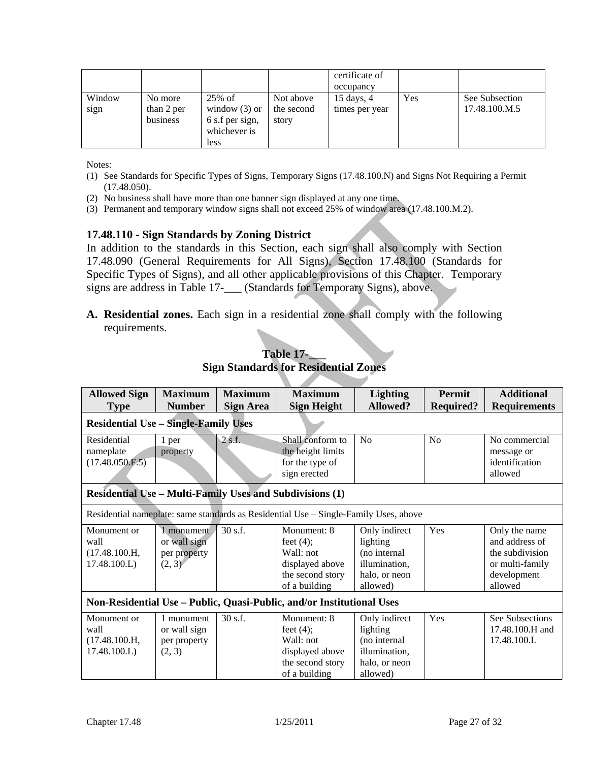|                |                                   |                                                                             |                                  | certificate of<br>occupancy            |     |                                 |
|----------------|-----------------------------------|-----------------------------------------------------------------------------|----------------------------------|----------------------------------------|-----|---------------------------------|
| Window<br>sign | No more<br>than 2 per<br>business | 25% of<br>window $(3)$ or<br>6 s.f per sign,<br>whichever is<br><b>less</b> | Not above<br>the second<br>story | $15 \text{ days}, 4$<br>times per year | Yes | See Subsection<br>17.48.100.M.5 |

Notes:

- (1) See Standards for Specific Types of Signs, Temporary Signs (17.48.100.N) and Signs Not Requiring a Permit (17.48.050).
- (2) No business shall have more than one banner sign displayed at any one time.
- (3) Permanent and temporary window signs shall not exceed 25% of window area (17.48.100.M.2).

#### **17.48.110 - Sign Standards by Zoning District**

In addition to the standards in this Section, each sign shall also comply with Section 17.48.090 (General Requirements for All Signs), Section 17.48.100 (Standards for Specific Types of Signs), and all other applicable provisions of this Chapter. Temporary signs are address in Table 17-\_\_\_ (Standards for Temporary Signs), above.

**A. Residential zones.** Each sign in a residential zone shall comply with the following requirements.

| <b>Allowed Sign</b><br><b>Type</b>                                    | <b>Maximum</b><br><b>Number</b>                                                      | <b>Maximum</b><br><b>Sign Area</b> | <b>Maximum</b><br><b>Sign Height</b>                                                             | <b>Lighting</b><br>Allowed?                                                             | Permit<br><b>Required?</b> | <b>Additional</b><br><b>Requirements</b>                                                        |  |  |
|-----------------------------------------------------------------------|--------------------------------------------------------------------------------------|------------------------------------|--------------------------------------------------------------------------------------------------|-----------------------------------------------------------------------------------------|----------------------------|-------------------------------------------------------------------------------------------------|--|--|
| <b>Residential Use - Single-Family Uses</b>                           |                                                                                      |                                    |                                                                                                  |                                                                                         |                            |                                                                                                 |  |  |
| Residential<br>nameplate<br>(17.48.050.F.5)                           | 1 per<br>property                                                                    | 2s.f.                              | Shall conform to<br>the height limits<br>for the type of<br>sign erected                         | N <sub>o</sub>                                                                          | No                         | No commercial<br>message or<br>identification<br>allowed                                        |  |  |
|                                                                       |                                                                                      |                                    | <b>Residential Use - Multi-Family Uses and Subdivisions (1)</b>                                  |                                                                                         |                            |                                                                                                 |  |  |
|                                                                       | Residential nameplate: same standards as Residential Use – Single-Family Uses, above |                                    |                                                                                                  |                                                                                         |                            |                                                                                                 |  |  |
| Monument or<br>wall<br>(17.48.100.H,<br>17.48.100.L                   | 1 monument<br>or wall sign<br>per property<br>(2, 3)                                 | 30 s.f.                            | Monument: 8<br>feet $(4)$ ;<br>Wall: not<br>displayed above<br>the second story<br>of a building | Only indirect<br>lighting<br>(no internal<br>illumination,<br>halo, or neon<br>allowed) | Yes                        | Only the name<br>and address of<br>the subdivision<br>or multi-family<br>development<br>allowed |  |  |
| Non-Residential Use - Public, Quasi-Public, and/or Institutional Uses |                                                                                      |                                    |                                                                                                  |                                                                                         |                            |                                                                                                 |  |  |
| Monument or<br>wall<br>(17.48.100.H,<br>17.48.100.L)                  | 1 monument<br>or wall sign<br>per property<br>(2, 3)                                 | 30 s.f.                            | Monument: 8<br>feet $(4)$ ;<br>Wall: not<br>displayed above<br>the second story<br>of a building | Only indirect<br>lighting<br>(no internal<br>illumination,<br>halo, or neon<br>allowed) | Yes                        | See Subsections<br>17.48.100.H and<br>17.48.100.L                                               |  |  |

#### **Table 17-\_\_\_ Sign Standards for Residential Zones**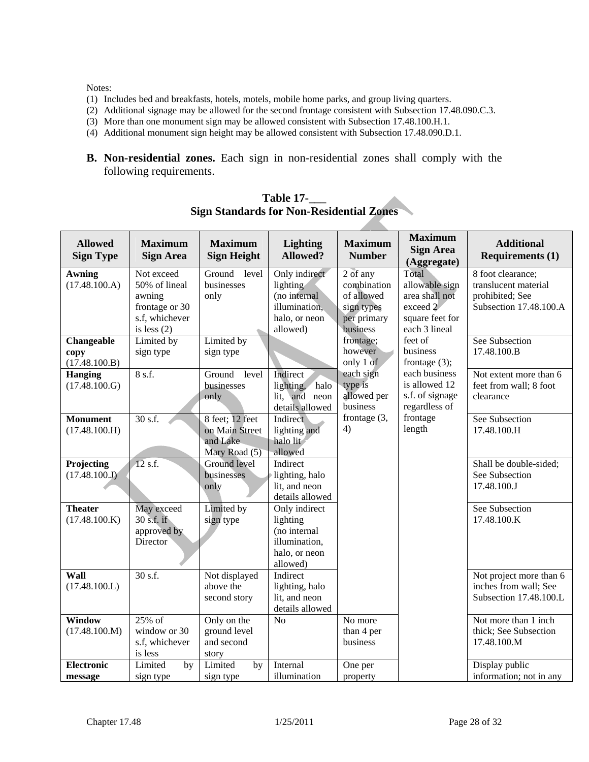Notes:

- (1) Includes bed and breakfasts, hotels, motels, mobile home parks, and group living quarters.
- (2) Additional signage may be allowed for the second frontage consistent with Subsection 17.48.090.C.3.
- (3) More than one monument sign may be allowed consistent with Subsection 17.48.100.H.1.
- (4) Additional monument sign height may be allowed consistent with Subsection 17.48.090.D.1.
- **B. Non-residential zones.** Each sign in non-residential zones shall comply with the following requirements.

| <b>Allowed</b><br><b>Sign Type</b>  | <b>Maximum</b><br><b>Sign Area</b>                                                         | <b>Maximum</b><br><b>Sign Height</b>                           | <b>Lighting</b><br><b>Allowed?</b>                                                      | <b>Maximum</b><br><b>Number</b>                                                | <b>Maximum</b><br><b>Sign Area</b><br>(Aggregate)                                         | <b>Additional</b><br><b>Requirements (1)</b>                                           |
|-------------------------------------|--------------------------------------------------------------------------------------------|----------------------------------------------------------------|-----------------------------------------------------------------------------------------|--------------------------------------------------------------------------------|-------------------------------------------------------------------------------------------|----------------------------------------------------------------------------------------|
| <b>Awning</b><br>(17.48.100.A)      | Not exceed<br>50% of lineal<br>awning<br>frontage or 30<br>s.f, whichever<br>is less $(2)$ | Ground level<br>businesses<br>only                             | Only indirect<br>lighting<br>(no internal<br>illumination,<br>halo, or neon<br>allowed) | 2 of any<br>combination<br>of allowed<br>sign types<br>per primary<br>business | Total<br>allowable sign<br>area shall not<br>exceed 2<br>square feet for<br>each 3 lineal | 8 foot clearance;<br>translucent material<br>prohibited; See<br>Subsection 17.48.100.A |
| Changeable<br>copy<br>(17.48.100.B) | Limited by<br>sign type                                                                    | Limited by<br>sign type                                        |                                                                                         | frontage;<br>however<br>only 1 of                                              | feet of<br>business<br>frontage $(3)$ ;                                                   | See Subsection<br>17.48.100.B                                                          |
| <b>Hanging</b><br>(17.48.100.G)     | 8 s.f.                                                                                     | Ground<br>level<br>businesses<br>only                          | Indirect<br>halo<br>lighting,<br>lit, and neon<br>details allowed                       | each sign<br>type is<br>allowed per<br>business                                | each business<br>is allowed 12<br>s.f. of signage<br>regardless of                        | Not extent more than 6<br>feet from wall; 8 foot<br>clearance                          |
| <b>Monument</b><br>(17.48.100.H)    | 30 s.f.                                                                                    | 8 feet; 12 feet<br>on Main Street<br>and Lake<br>Mary Road (5) | Indirect<br>lighting and<br>halo lit<br>allowed                                         | frontage (3,<br>4)                                                             | frontage<br>length                                                                        | See Subsection<br>17.48.100.H                                                          |
| Projecting<br>(17.48.100.J)         | $12$ s.f.                                                                                  | Ground level<br>businesses<br>only                             | Indirect<br>lighting, halo<br>lit, and neon<br>details allowed                          |                                                                                |                                                                                           | Shall be double-sided;<br>See Subsection<br>17.48.100.J                                |
| <b>Theater</b><br>(17.48.100.K)     | May exceed<br>30 s.f. if<br>approved by<br>Director                                        | Limited by<br>sign type                                        | Only indirect<br>lighting<br>(no internal<br>illumination,<br>halo, or neon<br>allowed) |                                                                                |                                                                                           | See Subsection<br>17.48.100.K                                                          |
| Wall<br>(17.48.100.L)               | 30 s.f.                                                                                    | Not displayed<br>above the<br>second story                     | Indirect<br>lighting, halo<br>lit, and neon<br>details allowed                          |                                                                                |                                                                                           | Not project more than 6<br>inches from wall; See<br>Subsection 17.48.100.L             |
| Window<br>(17.48.100.M)             | $25\%$ of<br>window or 30<br>s.f, whichever<br>is less                                     | Only on the<br>ground level<br>and second<br>story             | N <sub>o</sub>                                                                          | No more<br>than 4 per<br>business                                              |                                                                                           | Not more than 1 inch<br>thick; See Subsection<br>17.48.100.M                           |
| <b>Electronic</b><br>message        | Limited<br>by<br>sign type                                                                 | Limited<br>by<br>sign type                                     | Internal<br>illumination                                                                | One per<br>property                                                            |                                                                                           | Display public<br>information; not in any                                              |

**Table 17-\_\_\_ Sign Standards for Non-Residential Zones**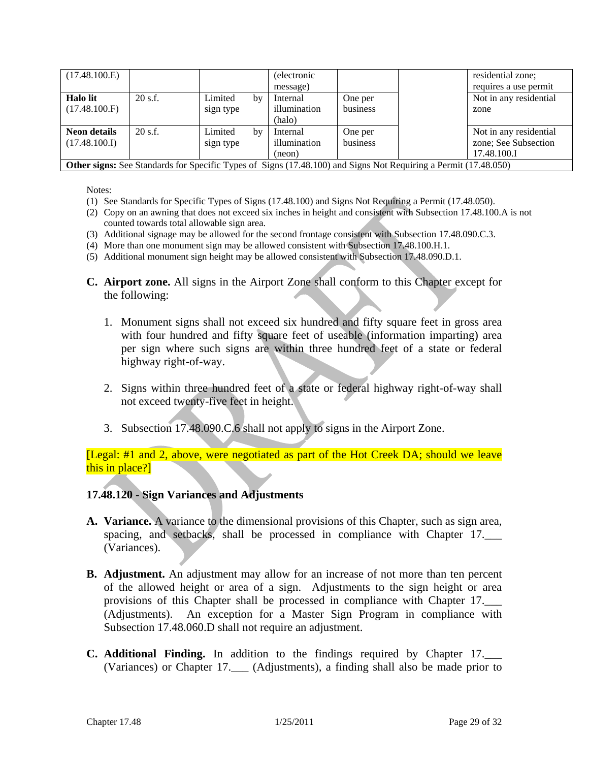| (17.48.100.E)                                                                                                                                                                                                 |           |                      |    | <i>(electronic)</i><br>message)    |                     |  | residential zone;<br>requires a use permit |
|---------------------------------------------------------------------------------------------------------------------------------------------------------------------------------------------------------------|-----------|----------------------|----|------------------------------------|---------------------|--|--------------------------------------------|
| <b>Halo lit</b><br>(17.48.100.F)                                                                                                                                                                              | $20$ s.f. | Limited<br>sign type | by | Internal<br>illumination<br>(halo) | One per<br>business |  | Not in any residential<br>zone             |
| $20$ s.f.<br><b>Neon details</b><br>Not in any residential<br>Limited<br>Internal<br>One per<br>by<br>zone; See Subsection<br>illumination<br>(17.48.100.I)<br>business<br>sign type<br>17.48.100.I<br>(neon) |           |                      |    |                                    |                     |  |                                            |
| <b>Other signs:</b> See Standards for Specific Types of Signs (17.48.100) and Signs Not Requiring a Permit (17.48.050)                                                                                        |           |                      |    |                                    |                     |  |                                            |

Notes:

- (1) See Standards for Specific Types of Signs (17.48.100) and Signs Not Requiring a Permit (17.48.050).
- (2) Copy on an awning that does not exceed six inches in height and consistent with Subsection 17.48.100.A is not counted towards total allowable sign area.
- (3) Additional signage may be allowed for the second frontage consistent with Subsection 17.48.090.C.3.
- (4) More than one monument sign may be allowed consistent with Subsection 17.48.100.H.1.
- (5) Additional monument sign height may be allowed consistent with Subsection 17.48.090.D.1.
- **C. Airport zone.** All signs in the Airport Zone shall conform to this Chapter except for the following:
	- 1. Monument signs shall not exceed six hundred and fifty square feet in gross area with four hundred and fifty square feet of useable (information imparting) area per sign where such signs are within three hundred feet of a state or federal highway right-of-way.
	- 2. Signs within three hundred feet of a state or federal highway right-of-way shall not exceed twenty-five feet in height.
	- 3. Subsection 17.48.090.C.6 shall not apply to signs in the Airport Zone.

[Legal: #1 and 2, above, were negotiated as part of the Hot Creek DA; should we leave this in place?]

#### **17.48.120 - Sign Variances and Adjustments**

- **A. Variance.** A variance to the dimensional provisions of this Chapter, such as sign area, spacing, and setbacks, shall be processed in compliance with Chapter 17. (Variances).
- **B. Adjustment.** An adjustment may allow for an increase of not more than ten percent of the allowed height or area of a sign. Adjustments to the sign height or area provisions of this Chapter shall be processed in compliance with Chapter 17. (Adjustments). An exception for a Master Sign Program in compliance with Subsection 17.48.060.D shall not require an adjustment.
- **C. Additional Finding.** In addition to the findings required by Chapter 17.\_\_\_ (Variances) or Chapter 17.\_\_\_ (Adjustments), a finding shall also be made prior to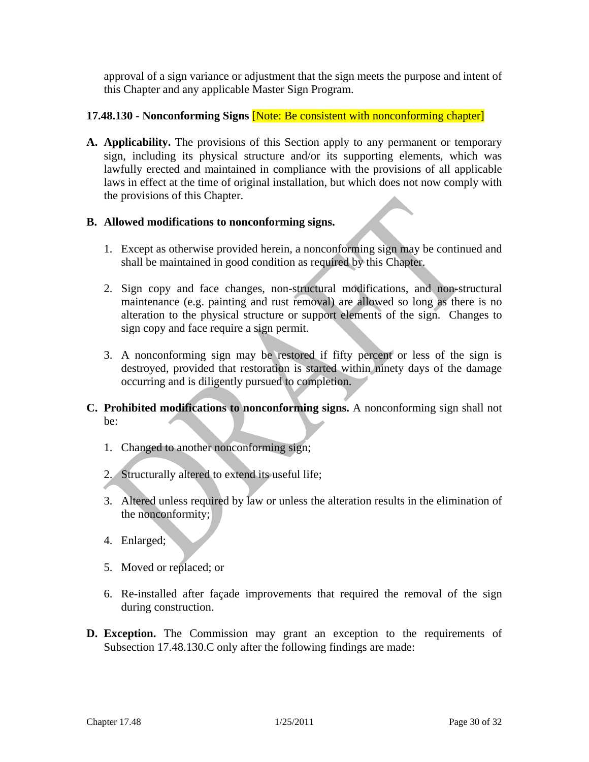approval of a sign variance or adjustment that the sign meets the purpose and intent of this Chapter and any applicable Master Sign Program.

### **17.48.130 - Nonconforming Signs** [Note: Be consistent with nonconforming chapter]

**A. Applicability.** The provisions of this Section apply to any permanent or temporary sign, including its physical structure and/or its supporting elements, which was lawfully erected and maintained in compliance with the provisions of all applicable laws in effect at the time of original installation, but which does not now comply with the provisions of this Chapter.

### **B. Allowed modifications to nonconforming signs.**

- 1. Except as otherwise provided herein, a nonconforming sign may be continued and shall be maintained in good condition as required by this Chapter.
- 2. Sign copy and face changes, non-structural modifications, and non-structural maintenance (e.g. painting and rust removal) are allowed so long as there is no alteration to the physical structure or support elements of the sign. Changes to sign copy and face require a sign permit.
- 3. A nonconforming sign may be restored if fifty percent or less of the sign is destroyed, provided that restoration is started within ninety days of the damage occurring and is diligently pursued to completion.
- **C. Prohibited modifications to nonconforming signs.** A nonconforming sign shall not be:
	- 1. Changed to another nonconforming sign;
	- 2. Structurally altered to extend its useful life;
	- 3. Altered unless required by law or unless the alteration results in the elimination of the nonconformity;
	- 4. Enlarged;
	- 5. Moved or replaced; or
	- 6. Re-installed after façade improvements that required the removal of the sign during construction.
- **D. Exception.** The Commission may grant an exception to the requirements of Subsection 17.48.130.C only after the following findings are made: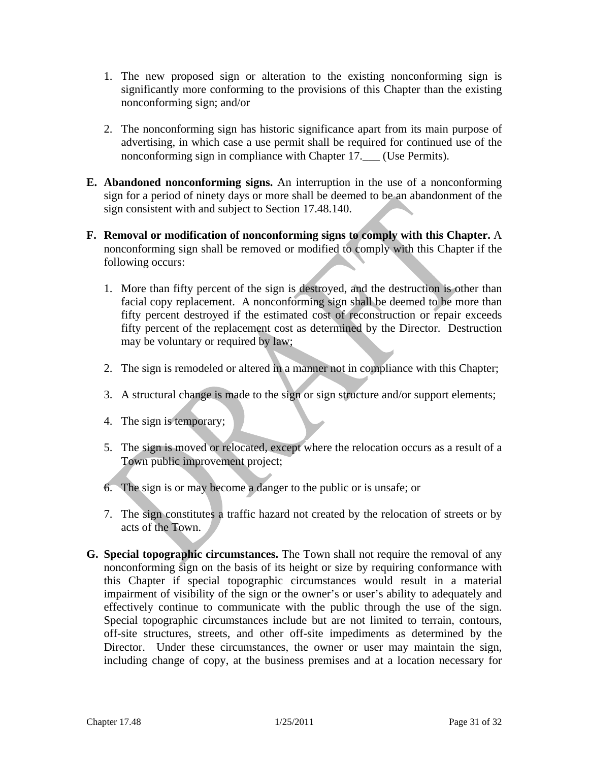- 1. The new proposed sign or alteration to the existing nonconforming sign is significantly more conforming to the provisions of this Chapter than the existing nonconforming sign; and/or
- 2. The nonconforming sign has historic significance apart from its main purpose of advertising, in which case a use permit shall be required for continued use of the nonconforming sign in compliance with Chapter 17. [Use Permits].
- **E. Abandoned nonconforming signs.** An interruption in the use of a nonconforming sign for a period of ninety days or more shall be deemed to be an abandonment of the sign consistent with and subject to Section 17.48.140.
- **F. Removal or modification of nonconforming signs to comply with this Chapter.** A nonconforming sign shall be removed or modified to comply with this Chapter if the following occurs:
	- 1. More than fifty percent of the sign is destroyed, and the destruction is other than facial copy replacement. A nonconforming sign shall be deemed to be more than fifty percent destroyed if the estimated cost of reconstruction or repair exceeds fifty percent of the replacement cost as determined by the Director. Destruction may be voluntary or required by law;
	- 2. The sign is remodeled or altered in a manner not in compliance with this Chapter;
	- 3. A structural change is made to the sign or sign structure and/or support elements;
	- 4. The sign is temporary;
	- 5. The sign is moved or relocated, except where the relocation occurs as a result of a Town public improvement project;
	- 6. The sign is or may become a danger to the public or is unsafe; or
	- 7. The sign constitutes a traffic hazard not created by the relocation of streets or by acts of the Town.
- **G. Special topographic circumstances.** The Town shall not require the removal of any nonconforming sign on the basis of its height or size by requiring conformance with this Chapter if special topographic circumstances would result in a material impairment of visibility of the sign or the owner's or user's ability to adequately and effectively continue to communicate with the public through the use of the sign. Special topographic circumstances include but are not limited to terrain, contours, off-site structures, streets, and other off-site impediments as determined by the Director. Under these circumstances, the owner or user may maintain the sign, including change of copy, at the business premises and at a location necessary for